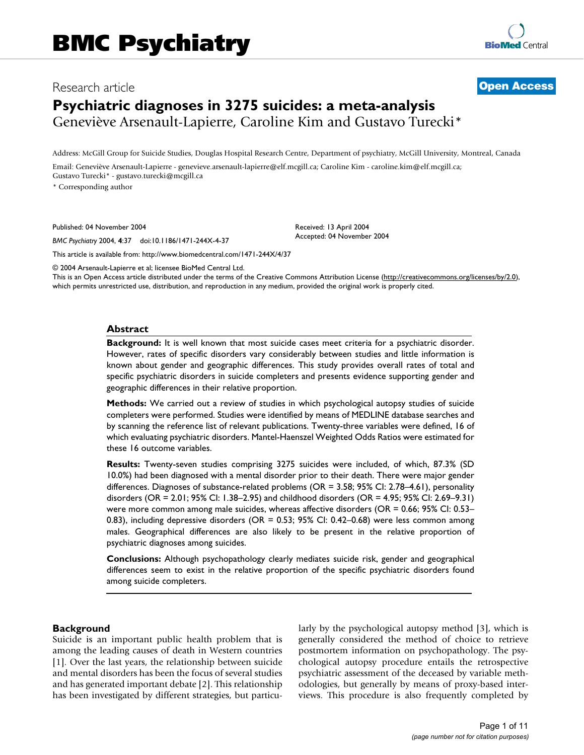# Research article **[Open Access](http://www.biomedcentral.com/info/about/charter/) Psychiatric diagnoses in 3275 suicides: a meta-analysis** Geneviève Arsenault-Lapierre, Caroline Kim and Gustavo Turecki\*

Address: McGill Group for Suicide Studies, Douglas Hospital Research Centre, Department of psychiatry, McGill University, Montreal, Canada

Email: Geneviève Arsenault-Lapierre - genevieve.arsenault-lapierre@elf.mcgill.ca; Caroline Kim - caroline.kim@elf.mcgill.ca; Gustavo Turecki\* - gustavo.turecki@mcgill.ca

\* Corresponding author

Published: 04 November 2004

*BMC Psychiatry* 2004, **4**:37 doi:10.1186/1471-244X-4-37

[This article is available from: http://www.biomedcentral.com/1471-244X/4/37](http://www.biomedcentral.com/1471-244X/4/37)

© 2004 Arsenault-Lapierre et al; licensee BioMed Central Ltd.

This is an Open Access article distributed under the terms of the Creative Commons Attribution License [\(http://creativecommons.org/licenses/by/2.0\)](http://creativecommons.org/licenses/by/2.0), which permits unrestricted use, distribution, and reproduction in any medium, provided the original work is properly cited.

Received: 13 April 2004 Accepted: 04 November 2004

#### **Abstract**

**Background:** It is well known that most suicide cases meet criteria for a psychiatric disorder. However, rates of specific disorders vary considerably between studies and little information is known about gender and geographic differences. This study provides overall rates of total and specific psychiatric disorders in suicide completers and presents evidence supporting gender and geographic differences in their relative proportion.

**Methods:** We carried out a review of studies in which psychological autopsy studies of suicide completers were performed. Studies were identified by means of MEDLINE database searches and by scanning the reference list of relevant publications. Twenty-three variables were defined, 16 of which evaluating psychiatric disorders. Mantel-Haenszel Weighted Odds Ratios were estimated for these 16 outcome variables.

**Results:** Twenty-seven studies comprising 3275 suicides were included, of which, 87.3% (SD 10.0%) had been diagnosed with a mental disorder prior to their death. There were major gender differences. Diagnoses of substance-related problems (OR = 3.58; 95% CI: 2.78–4.61), personality disorders (OR = 2.01; 95% CI: 1.38–2.95) and childhood disorders (OR = 4.95; 95% CI: 2.69–9.31) were more common among male suicides, whereas affective disorders (OR = 0.66; 95% CI: 0.53– 0.83), including depressive disorders (OR = 0.53; 95% CI: 0.42–0.68) were less common among males. Geographical differences are also likely to be present in the relative proportion of psychiatric diagnoses among suicides.

**Conclusions:** Although psychopathology clearly mediates suicide risk, gender and geographical differences seem to exist in the relative proportion of the specific psychiatric disorders found among suicide completers.

#### **Background**

Suicide is an important public health problem that is among the leading causes of death in Western countries [1]. Over the last years, the relationship between suicide and mental disorders has been the focus of several studies and has generated important debate [2]. This relationship has been investigated by different strategies, but particularly by the psychological autopsy method [3], which is generally considered the method of choice to retrieve postmortem information on psychopathology. The psychological autopsy procedure entails the retrospective psychiatric assessment of the deceased by variable methodologies, but generally by means of proxy-based interviews. This procedure is also frequently completed by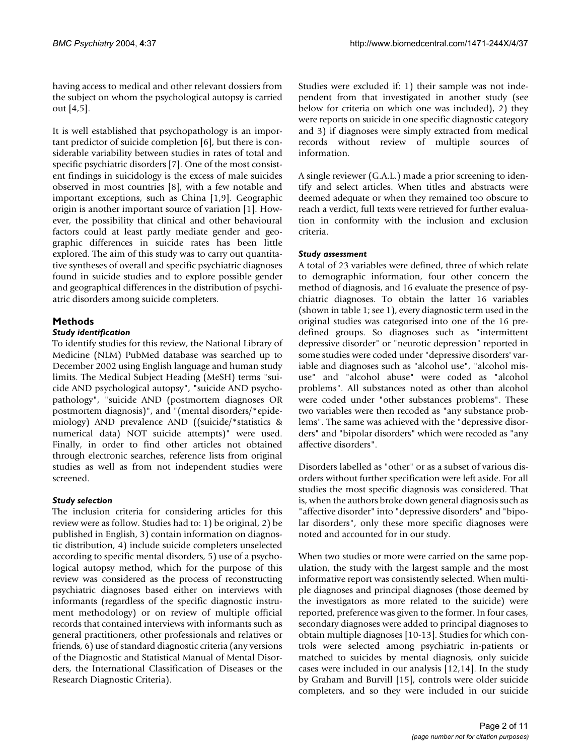having access to medical and other relevant dossiers from the subject on whom the psychological autopsy is carried out [4,5].

It is well established that psychopathology is an important predictor of suicide completion [6], but there is considerable variability between studies in rates of total and specific psychiatric disorders [7]. One of the most consistent findings in suicidology is the excess of male suicides observed in most countries [8], with a few notable and important exceptions, such as China [1,9]. Geographic origin is another important source of variation [1]. However, the possibility that clinical and other behavioural factors could at least partly mediate gender and geographic differences in suicide rates has been little explored. The aim of this study was to carry out quantitative syntheses of overall and specific psychiatric diagnoses found in suicide studies and to explore possible gender and geographical differences in the distribution of psychiatric disorders among suicide completers.

# **Methods**

# *Study identification*

To identify studies for this review, the National Library of Medicine (NLM) PubMed database was searched up to December 2002 using English language and human study limits. The Medical Subject Heading (MeSH) terms "suicide AND psychological autopsy", "suicide AND psychopathology", "suicide AND (postmortem diagnoses OR postmortem diagnosis)", and "(mental disorders/\*epidemiology) AND prevalence AND ((suicide/\*statistics & numerical data) NOT suicide attempts)" were used. Finally, in order to find other articles not obtained through electronic searches, reference lists from original studies as well as from not independent studies were screened.

# *Study selection*

The inclusion criteria for considering articles for this review were as follow. Studies had to: 1) be original, 2) be published in English, 3) contain information on diagnostic distribution, 4) include suicide completers unselected according to specific mental disorders, 5) use of a psychological autopsy method, which for the purpose of this review was considered as the process of reconstructing psychiatric diagnoses based either on interviews with informants (regardless of the specific diagnostic instrument methodology) or on review of multiple official records that contained interviews with informants such as general practitioners, other professionals and relatives or friends, 6) use of standard diagnostic criteria (any versions of the Diagnostic and Statistical Manual of Mental Disorders, the International Classification of Diseases or the Research Diagnostic Criteria).

Studies were excluded if: 1) their sample was not independent from that investigated in another study (see below for criteria on which one was included), 2) they were reports on suicide in one specific diagnostic category and 3) if diagnoses were simply extracted from medical records without review of multiple sources of information.

A single reviewer (G.A.L.) made a prior screening to identify and select articles. When titles and abstracts were deemed adequate or when they remained too obscure to reach a verdict, full texts were retrieved for further evaluation in conformity with the inclusion and exclusion criteria.

# *Study assessment*

A total of 23 variables were defined, three of which relate to demographic information, four other concern the method of diagnosis, and 16 evaluate the presence of psychiatric diagnoses. To obtain the latter 16 variables (shown in table 1; see 1), every diagnostic term used in the original studies was categorised into one of the 16 predefined groups. So diagnoses such as "intermittent depressive disorder" or "neurotic depression" reported in some studies were coded under "depressive disorders' variable and diagnoses such as "alcohol use", "alcohol misuse" and "alcohol abuse" were coded as "alcohol problems". All substances noted as other than alcohol were coded under "other substances problems". These two variables were then recoded as "any substance problems". The same was achieved with the "depressive disorders" and "bipolar disorders" which were recoded as "any affective disorders".

Disorders labelled as "other" or as a subset of various disorders without further specification were left aside. For all studies the most specific diagnosis was considered. That is, when the authors broke down general diagnosis such as "affective disorder" into "depressive disorders" and "bipolar disorders", only these more specific diagnoses were noted and accounted for in our study.

When two studies or more were carried on the same population, the study with the largest sample and the most informative report was consistently selected. When multiple diagnoses and principal diagnoses (those deemed by the investigators as more related to the suicide) were reported, preference was given to the former. In four cases, secondary diagnoses were added to principal diagnoses to obtain multiple diagnoses [10-13]. Studies for which controls were selected among psychiatric in-patients or matched to suicides by mental diagnosis, only suicide cases were included in our analysis [12,14]. In the study by Graham and Burvill [15], controls were older suicide completers, and so they were included in our suicide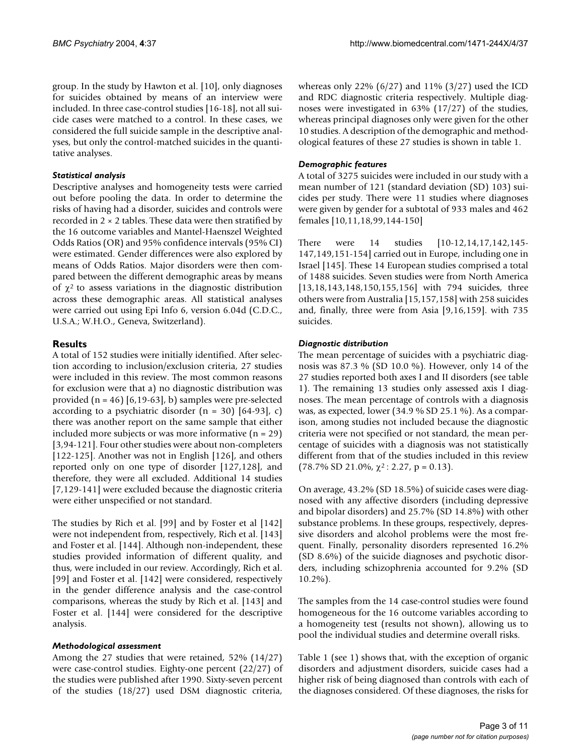group. In the study by Hawton et al. [10], only diagnoses for suicides obtained by means of an interview were included. In three case-control studies [16-18], not all suicide cases were matched to a control. In these cases, we considered the full suicide sample in the descriptive analyses, but only the control-matched suicides in the quantitative analyses.

# *Statistical analysis*

Descriptive analyses and homogeneity tests were carried out before pooling the data. In order to determine the risks of having had a disorder, suicides and controls were recorded in 2 × 2 tables. These data were then stratified by the 16 outcome variables and Mantel-Haenszel Weighted Odds Ratios (OR) and 95% confidence intervals (95% CI) were estimated. Gender differences were also explored by means of Odds Ratios. Major disorders were then compared between the different demographic areas by means of  $\chi^2$  to assess variations in the diagnostic distribution across these demographic areas. All statistical analyses were carried out using Epi Info 6, version 6.04d (C.D.C., U.S.A.; W.H.O., Geneva, Switzerland).

# **Results**

A total of 152 studies were initially identified. After selection according to inclusion/exclusion criteria, 27 studies were included in this review. The most common reasons for exclusion were that a) no diagnostic distribution was provided  $(n = 46)$  [6,19-63], b) samples were pre-selected according to a psychiatric disorder  $(n = 30)$  [64-93], c) there was another report on the same sample that either included more subjects or was more informative  $(n = 29)$ [3,94-121]. Four other studies were about non-completers [122-125]. Another was not in English [126], and others reported only on one type of disorder [127,128], and therefore, they were all excluded. Additional 14 studies [7,129-141] were excluded because the diagnostic criteria were either unspecified or not standard.

The studies by Rich et al. [99] and by Foster et al [142] were not independent from, respectively, Rich et al. [143] and Foster et al. [144]. Although non-independent, these studies provided information of different quality, and thus, were included in our review. Accordingly, Rich et al. [99] and Foster et al. [142] were considered, respectively in the gender difference analysis and the case-control comparisons, whereas the study by Rich et al. [143] and Foster et al. [144] were considered for the descriptive analysis.

# *Methodological assessment*

Among the 27 studies that were retained, 52% (14/27) were case-control studies. Eighty-one percent (22/27) of the studies were published after 1990. Sixty-seven percent of the studies (18/27) used DSM diagnostic criteria,

whereas only 22% (6/27) and 11% (3/27) used the ICD and RDC diagnostic criteria respectively. Multiple diagnoses were investigated in 63% (17/27) of the studies, whereas principal diagnoses only were given for the other 10 studies. A description of the demographic and methodological features of these 27 studies is shown in table 1.

# *Demographic features*

A total of 3275 suicides were included in our study with a mean number of 121 (standard deviation (SD) 103) suicides per study. There were 11 studies where diagnoses were given by gender for a subtotal of 933 males and 462 females [10,11,18,99,144-150]

There were 14 studies [10-12,14,17,142,145- 147,149,151-154] carried out in Europe, including one in Israel [145]. These 14 European studies comprised a total of 1488 suicides. Seven studies were from North America [13,18,143,148,150,155,156] with 794 suicides, three others were from Australia [15,157,158] with 258 suicides and, finally, three were from Asia [9,16,159]. with 735 suicides.

# *Diagnostic distribution*

The mean percentage of suicides with a psychiatric diagnosis was 87.3 % (SD 10.0 %). However, only 14 of the 27 studies reported both axes I and II disorders (see table 1). The remaining 13 studies only assessed axis I diagnoses. The mean percentage of controls with a diagnosis was, as expected, lower (34.9 % SD 25.1 %). As a comparison, among studies not included because the diagnostic criteria were not specified or not standard, the mean percentage of suicides with a diagnosis was not statistically different from that of the studies included in this review (78.7% SD 21.0%,  $\chi^2$ : 2.27, p = 0.13).

On average, 43.2% (SD 18.5%) of suicide cases were diagnosed with any affective disorders (including depressive and bipolar disorders) and 25.7% (SD 14.8%) with other substance problems. In these groups, respectively, depressive disorders and alcohol problems were the most frequent. Finally, personality disorders represented 16.2% (SD 8.6%) of the suicide diagnoses and psychotic disorders, including schizophrenia accounted for 9.2% (SD 10.2%).

The samples from the 14 case-control studies were found homogeneous for the 16 outcome variables according to a homogeneity test (results not shown), allowing us to pool the individual studies and determine overall risks.

Table 1 (see 1) shows that, with the exception of organic disorders and adjustment disorders, suicide cases had a higher risk of being diagnosed than controls with each of the diagnoses considered. Of these diagnoses, the risks for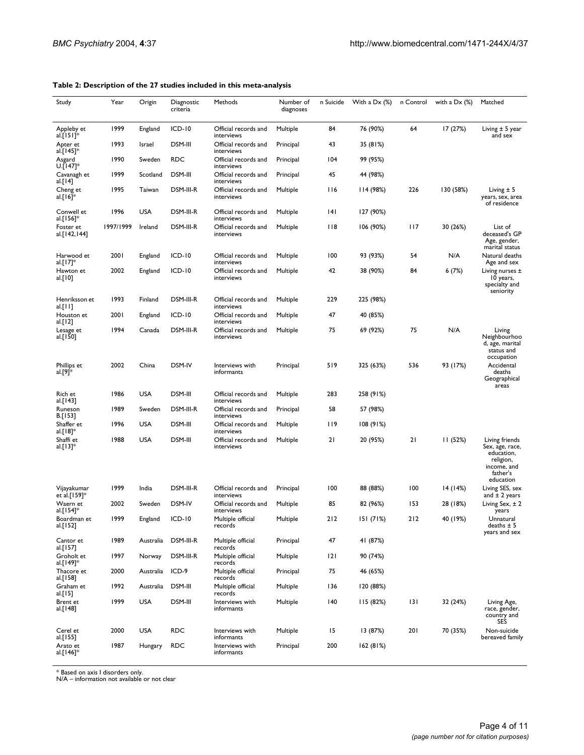| Study                            | Year      | Origin     | Diagnostic<br>criteria | Methods                                          | Number of<br>diagnoses | n Suicide   | With a $Dx$ (%) | n Control | with a $Dx$ $%$ | Matched                                                                   |
|----------------------------------|-----------|------------|------------------------|--------------------------------------------------|------------------------|-------------|-----------------|-----------|-----------------|---------------------------------------------------------------------------|
| Appleby et<br>al.[151]*          | 1999      | England    | ICD-10                 | Official records and<br>interviews               | Multiple               | 84          | 76 (90%)        | 64        | 17 (27%)        | Living $\pm$ 5 year<br>and sex                                            |
| Apter et<br>al.[145]*            | 1993      | Israel     | DSM-III                | Official records and<br>interviews               | Principal              | 43          | 35 (81%)        |           |                 |                                                                           |
| Asgard<br>U.[147]                | 1990      | Sweden     | <b>RDC</b>             | Official records and<br>interviews               | Principal              | 104         | 99 (95%)        |           |                 |                                                                           |
| Cavanagh et<br>al.[14]           | 1999      | Scotland   | DSM-III                | Official records and<br>interviews               | Principal              | 45          | 44 (98%)        |           |                 |                                                                           |
| Cheng et<br>al.[16]*             | 1995      | Taiwan     | DSM-III-R              | Official records and<br>interviews               | Multiple               | 116         | 114 (98%)       | 226       | 130 (58%)       | Living $\pm$ 5<br>years, sex, area<br>of residence                        |
| Conwell et<br>al.[156]*          | 1996      | USA        | DSM-III-R              | Official records and<br>interviews               | Multiple               | 4           | 127 (90%)       |           |                 |                                                                           |
| Foster et<br>al.[142,144]        | 1997/1999 | Ireland    | DSM-III-R              | Official records and<br>interviews               | Multiple               | 18          | 106 (90%)       | 117       | 30 (26%)        | List of<br>deceased's GP<br>Age, gender,                                  |
| Harwood et<br>al.[17]*           | 2001      | England    | ICD-10                 | Official records and<br>interviews               | Multiple               | 100         | 93 (93%)        | 54        | N/A             | marital status<br>Natural deaths<br>Age and sex                           |
| Hawton et<br>al.[10]             | 2002      | England    | $ICD-10$               | Official records and<br>interviews               | Multiple               | 42          | 38 (90%)        | 84        | 6 (7%)          | Living nurses $\pm$<br>10 years,<br>specialty and                         |
| Henriksson et                    | 1993      | Finland    | DSM-III-R              | Official records and                             | Multiple               | 229         | 225 (98%)       |           |                 | seniority                                                                 |
| al.[11]<br>Houston et            | 2001      | England    | $ICD-10$               | interviews<br>Official records and               | Multiple               | 47          | 40 (85%)        |           |                 |                                                                           |
| al.[12]<br>Lesage et<br>al.[150] | 1994      | Canada     | DSM-III-R              | interviews<br>Official records and<br>interviews | Multiple               | 75          | 69 (92%)        | 75        | N/A             | Living<br>Neighbourhoo<br>d, age, marital                                 |
| Phillips et<br>al.[9]*           | 2002      | China      | DSM-IV                 | Interviews with<br>informants                    | Principal              | 519         | 325 (63%)       | 536       | 93 (17%)        | status and<br>occupation<br>Accidental<br>deaths<br>Geographical<br>areas |
| Rich et<br>al.[143]              | 1986      | <b>USA</b> | DSM-III                | Official records and<br>interviews               | Multiple               | 283         | 258 (91%)       |           |                 |                                                                           |
| Runeson<br>B.[153]               | 1989      | Sweden     | DSM-III-R              | Official records and<br>interviews               | Principal              | 58          | 57 (98%)        |           |                 |                                                                           |
| Shaffer et<br>al.[18]*           | 1996      | <b>USA</b> | DSM-III                | Official records and<br>interviews               | Multiple               | <u>  19</u> | 108(91%)        |           |                 |                                                                           |
| Shaffi et<br>al.[13]*            | 1988      | <b>USA</b> | DSM-III                | Official records and<br>interviews               | Multiple               | 21          | 20 (95%)        | 21        | 11(52%)         | Living friends<br>Sex, age, race,<br>education,                           |
|                                  |           |            |                        |                                                  |                        |             |                 |           |                 | religion,<br>income, and<br>father's<br>education                         |
| Vijayakumar<br>et al.[159]*      | 1999      | India      | DSM-III-R              | Official records and<br>interviews               | Principal              | 100         | 88 (88%)        | 100       | 14 (14%)        | Living SES, sex<br>and $\pm$ 2 years                                      |
| Waern et<br>al.[154]*            | 2002      | Sweden     | DSM-IV                 | Official records and<br>interviews               | Multiple               | 85          | 82 (96%)        | 153       | 28 (18%)        | Living Sex, $\pm 2$<br>years                                              |
| Boardman et<br>al.[152]          | 1999      | England    | ICD-10                 | Multiple official<br>records                     | Multiple               | 212         | 151 (71%)       | 212       | 40 (19%)        | Unnatural<br>deaths $\pm$ 5<br>years and sex                              |
| Cantor et<br>al.[157]            | 1989      | Australia  | DSM-III-R              | Multiple official<br>records                     | Principal              | 47          | 41 (87%)        |           |                 |                                                                           |
| Groholt et<br>al.[149]*          | 1997      | Norway     | DSM-III-R              | Multiple official<br>records                     | Multiple               | 2           | 90 (74%)        |           |                 |                                                                           |
| Thacore et<br>al.[158]           | 2000      | Australia  | ICD-9                  | Multiple official<br>records                     | Principal              | 75          | 46 (65%)        |           |                 |                                                                           |
| Graham et<br>al.[15]             | 1992      | Australia  | DSM-III                | Multiple official<br>records                     | Multiple               | 136         | 120 (88%)       |           |                 |                                                                           |
| Brent et<br>al.[148]             | 1999      | <b>USA</b> | DSM-III                | Interviews with<br>informants                    | Multiple               | 140         | 115 (82%)       | 131       | 32 (24%)        | Living Age,<br>race, gender,<br>country and                               |
| Cerel et<br>al.[155]             | 2000      | <b>USA</b> | <b>RDC</b>             | Interviews with<br>informants                    | Multiple               | 15          | 13 (87%)        | 201       | 70 (35%)        | SES<br>Non-suicide<br>bereaved family                                     |
| Arato et<br>al.[146]*            | 1987      | Hungary    | <b>RDC</b>             | Interviews with<br>informants                    | Principal              | 200         | 162(81%)        |           |                 |                                                                           |

#### **Table 2: Description of the 27 studies included in this meta-analysis**

\* Based on axis I disorders only. N/A – information not available or not clear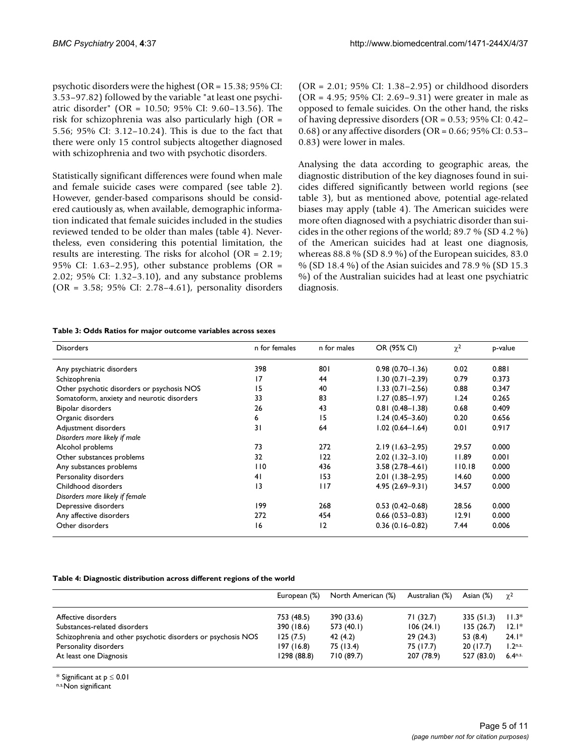psychotic disorders were the highest (OR = 15.38; 95% CI: 3.53–97.82) followed by the variable "at least one psychiatric disorder" (OR = 10.50; 95% CI: 9.60–13.56). The risk for schizophrenia was also particularly high (OR = 5.56; 95% CI: 3.12–10.24). This is due to the fact that there were only 15 control subjects altogether diagnosed with schizophrenia and two with psychotic disorders.

Statistically significant differences were found when male and female suicide cases were compared (see table [2\)](#page-4-0). However, gender-based comparisons should be considered cautiously as, when available, demographic information indicated that female suicides included in the studies reviewed tended to be older than males (table [4](#page-5-0)). Nevertheless, even considering this potential limitation, the results are interesting. The risks for alcohol (OR = 2.19; 95% CI: 1.63–2.95), other substance problems (OR = 2.02; 95% CI: 1.32–3.10), and any substance problems (OR = 3.58; 95% CI: 2.78–4.61), personality disorders (OR = 2.01; 95% CI: 1.38–2.95) or childhood disorders (OR = 4.95; 95% CI: 2.69–9.31) were greater in male as opposed to female suicides. On the other hand, the risks of having depressive disorders (OR = 0.53; 95% CI: 0.42– 0.68) or any affective disorders (OR = 0.66; 95% CI: 0.53– 0.83) were lower in males.

Analysing the data according to geographic areas, the diagnostic distribution of the key diagnoses found in suicides differed significantly between world regions (see table [3](#page-4-1)), but as mentioned above, potential age-related biases may apply (table [4](#page-5-0)). The American suicides were more often diagnosed with a psychiatric disorder than suicides in the other regions of the world; 89.7 % (SD 4.2 %) of the American suicides had at least one diagnosis, whereas 88.8 % (SD 8.9 %) of the European suicides, 83.0 % (SD 18.4 %) of the Asian suicides and 78.9 % (SD 15.3 %) of the Australian suicides had at least one psychiatric diagnosis.

#### <span id="page-4-0"></span>**Table 3: Odds Ratios for major outcome variables across sexes**

| <b>Disorders</b>                           | n for females   | n for males | OR (95% CI)            | $\chi^2$ | p-value |
|--------------------------------------------|-----------------|-------------|------------------------|----------|---------|
| Any psychiatric disorders                  | 398             | 801         | $0.98(0.70 - 1.36)$    | 0.02     | 0.881   |
| Schizophrenia                              | 17              | 44          | $1.30(0.71 - 2.39)$    | 0.79     | 0.373   |
| Other psychotic disorders or psychosis NOS | 15              | 40          | $1.33(0.71 - 2.56)$    | 0.88     | 0.347   |
| Somatoform, anxiety and neurotic disorders | 33              | 83          | $1.27(0.85 - 1.97)$    | 1.24     | 0.265   |
| Bipolar disorders                          | 26              | 43          | $0.81(0.48 - 1.38)$    | 0.68     | 0.409   |
| Organic disorders                          | 6               | 15          | $1.24(0.45 - 3.60)$    | 0.20     | 0.656   |
| Adjustment disorders                       | 31              | 64          | $1.02$ $(0.64 - 1.64)$ | 0.01     | 0.917   |
| Disorders more likely if male              |                 |             |                        |          |         |
| Alcohol problems                           | 73              | 272         | $2.19(1.63 - 2.95)$    | 29.57    | 0.000   |
| Other substances problems                  | 32              | 122         | $2.02(1.32 - 3.10)$    | 11.89    | 0.001   |
| Any substances problems                    | 110             | 436         | $3.58(2.78 - 4.61)$    | 110.18   | 0.000   |
| Personality disorders                      | 41              | 153         | $2.01(1.38-2.95)$      | 14.60    | 0.000   |
| Childhood disorders                        | $\overline{13}$ | 117         | $4.95(2.69 - 9.31)$    | 34.57    | 0.000   |
| Disorders more likely if female            |                 |             |                        |          |         |
| Depressive disorders                       | 199             | 268         | $0.53(0.42 - 0.68)$    | 28.56    | 0.000   |
| Any affective disorders                    | 272             | 454         | $0.66(0.53 - 0.83)$    | 12.91    | 0.000   |
| Other disorders                            | 16              | 12          | $0.36(0.16 - 0.82)$    | 7.44     | 0.006   |

#### <span id="page-4-1"></span>**Table 4: Diagnostic distribution across different regions of the world**

|                                                              | European (%) | North American (%) | Australian (%) | Asian (%)  | $\chi^2$              |
|--------------------------------------------------------------|--------------|--------------------|----------------|------------|-----------------------|
| Affective disorders                                          | 753 (48.5)   | 390 (33.6)         | 71 (32.7)      | 335(51.3)  | $11.3*$               |
| Substances-related disorders                                 | 390 (18.6)   | 573 (40.1)         | 106(24.1)      | 135(26.7)  | $12.1*$               |
| Schizophrenia and other psychotic disorders or psychosis NOS | 125(7.5)     | 42 (4.2)           | 29(24.3)       | 53(8.4)    | $24.1*$               |
| Personality disorders                                        | 197(16.8)    | 75 (13.4)          | 75 (17.7)      | 20(17.7)   | 1.2 <sup>n.s.</sup>   |
| At least one Diagnosis                                       | 1298 (88.8)  | 710 (89.7)         | 207 (78.9)     | 527 (83.0) | $6.4$ <sup>n.s.</sup> |

\* Significant at p ≤ 0.01

n.s.Non significant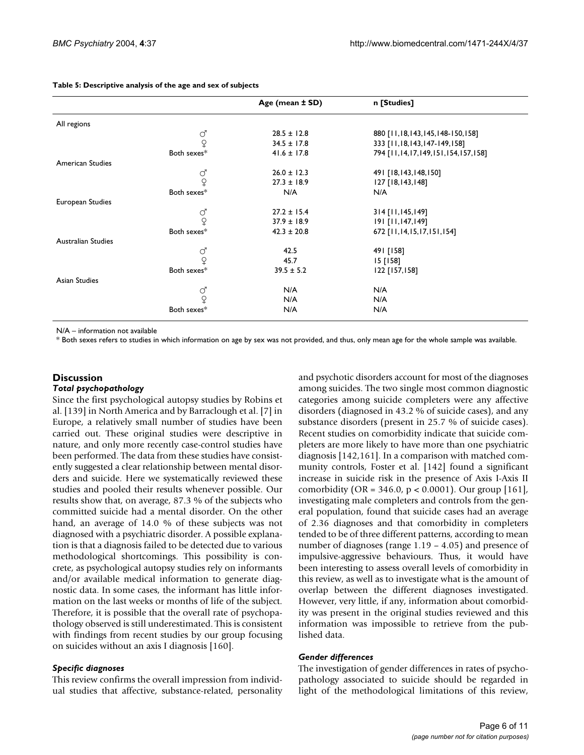#### <span id="page-5-0"></span>**Table 5: Descriptive analysis of the age and sex of subjects**

N/A – information not available

\* Both sexes refers to studies in which information on age by sex was not provided, and thus, only mean age for the whole sample was available.

#### **Discussion** *Total psychopathology*

Since the first psychological autopsy studies by Robins et al. [139] in North America and by Barraclough et al. [7] in Europe, a relatively small number of studies have been carried out. These original studies were descriptive in nature, and only more recently case-control studies have been performed. The data from these studies have consistently suggested a clear relationship between mental disorders and suicide. Here we systematically reviewed these studies and pooled their results whenever possible. Our results show that, on average, 87.3 % of the subjects who committed suicide had a mental disorder. On the other hand, an average of 14.0 % of these subjects was not diagnosed with a psychiatric disorder. A possible explanation is that a diagnosis failed to be detected due to various methodological shortcomings. This possibility is concrete, as psychological autopsy studies rely on informants and/or available medical information to generate diagnostic data. In some cases, the informant has little information on the last weeks or months of life of the subject. Therefore, it is possible that the overall rate of psychopathology observed is still underestimated. This is consistent with findings from recent studies by our group focusing on suicides without an axis I diagnosis [160].

#### *Specific diagnoses*

This review confirms the overall impression from individual studies that affective, substance-related, personality and psychotic disorders account for most of the diagnoses among suicides. The two single most common diagnostic categories among suicide completers were any affective disorders (diagnosed in 43.2 % of suicide cases), and any substance disorders (present in 25.7 % of suicide cases). Recent studies on comorbidity indicate that suicide completers are more likely to have more than one psychiatric diagnosis [142,161]. In a comparison with matched community controls, Foster et al. [142] found a significant increase in suicide risk in the presence of Axis I-Axis II comorbidity (OR = 346.0,  $p < 0.0001$ ). Our group [161], investigating male completers and controls from the general population, found that suicide cases had an average of 2.36 diagnoses and that comorbidity in completers tended to be of three different patterns, according to mean number of diagnoses (range 1.19 – 4.05) and presence of impulsive-aggressive behaviours. Thus, it would have been interesting to assess overall levels of comorbidity in this review, as well as to investigate what is the amount of overlap between the different diagnoses investigated. However, very little, if any, information about comorbidity was present in the original studies reviewed and this information was impossible to retrieve from the published data.

#### *Gender differences*

The investigation of gender differences in rates of psychopathology associated to suicide should be regarded in light of the methodological limitations of this review,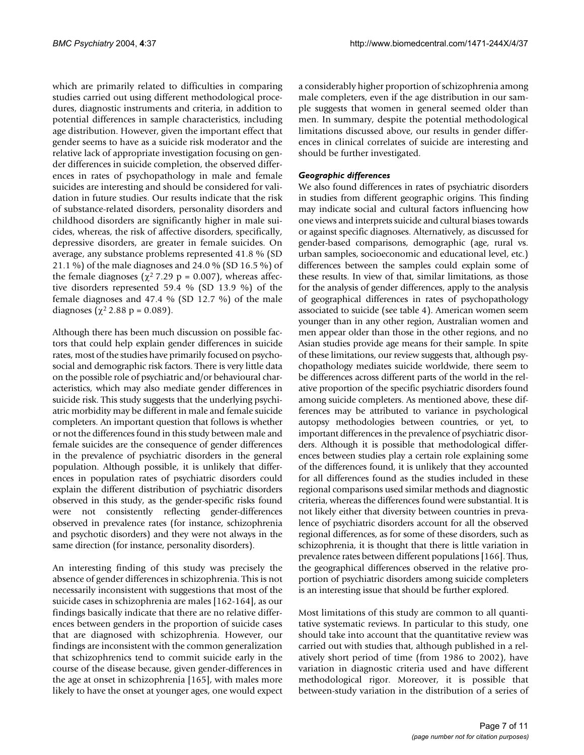which are primarily related to difficulties in comparing studies carried out using different methodological procedures, diagnostic instruments and criteria, in addition to potential differences in sample characteristics, including age distribution. However, given the important effect that gender seems to have as a suicide risk moderator and the relative lack of appropriate investigation focusing on gender differences in suicide completion, the observed differences in rates of psychopathology in male and female suicides are interesting and should be considered for validation in future studies. Our results indicate that the risk of substance-related disorders, personality disorders and childhood disorders are significantly higher in male suicides, whereas, the risk of affective disorders, specifically, depressive disorders, are greater in female suicides. On average, any substance problems represented 41.8 % (SD 21.1 %) of the male diagnoses and 24.0 % (SD 16.5 %) of the female diagnoses ( $χ$ <sup>2</sup> 7.29 p = 0.007), whereas affective disorders represented 59.4 % (SD 13.9 %) of the female diagnoses and 47.4 % (SD 12.7 %) of the male diagnoses ( $\chi^2$  2.88 p = 0.089).

Although there has been much discussion on possible factors that could help explain gender differences in suicide rates, most of the studies have primarily focused on psychosocial and demographic risk factors. There is very little data on the possible role of psychiatric and/or behavioural characteristics, which may also mediate gender differences in suicide risk. This study suggests that the underlying psychiatric morbidity may be different in male and female suicide completers. An important question that follows is whether or not the differences found in this study between male and female suicides are the consequence of gender differences in the prevalence of psychiatric disorders in the general population. Although possible, it is unlikely that differences in population rates of psychiatric disorders could explain the different distribution of psychiatric disorders observed in this study, as the gender-specific risks found were not consistently reflecting gender-differences observed in prevalence rates (for instance, schizophrenia and psychotic disorders) and they were not always in the same direction (for instance, personality disorders).

An interesting finding of this study was precisely the absence of gender differences in schizophrenia. This is not necessarily inconsistent with suggestions that most of the suicide cases in schizophrenia are males [162-164], as our findings basically indicate that there are no relative differences between genders in the proportion of suicide cases that are diagnosed with schizophrenia. However, our findings are inconsistent with the common generalization that schizophrenics tend to commit suicide early in the course of the disease because, given gender-differences in the age at onset in schizophrenia [165], with males more likely to have the onset at younger ages, one would expect

a considerably higher proportion of schizophrenia among male completers, even if the age distribution in our sample suggests that women in general seemed older than men. In summary, despite the potential methodological limitations discussed above, our results in gender differences in clinical correlates of suicide are interesting and should be further investigated.

# *Geographic differences*

We also found differences in rates of psychiatric disorders in studies from different geographic origins. This finding may indicate social and cultural factors influencing how one views and interprets suicide and cultural biases towards or against specific diagnoses. Alternatively, as discussed for gender-based comparisons, demographic (age, rural vs. urban samples, socioeconomic and educational level, etc.) differences between the samples could explain some of these results. In view of that, similar limitations, as those for the analysis of gender differences, apply to the analysis of geographical differences in rates of psychopathology associated to suicide (see table [4\)](#page-5-0). American women seem younger than in any other region, Australian women and men appear older than those in the other regions, and no Asian studies provide age means for their sample. In spite of these limitations, our review suggests that, although psychopathology mediates suicide worldwide, there seem to be differences across different parts of the world in the relative proportion of the specific psychiatric disorders found among suicide completers. As mentioned above, these differences may be attributed to variance in psychological autopsy methodologies between countries, or yet, to important differences in the prevalence of psychiatric disorders. Although it is possible that methodological differences between studies play a certain role explaining some of the differences found, it is unlikely that they accounted for all differences found as the studies included in these regional comparisons used similar methods and diagnostic criteria, whereas the differences found were substantial. It is not likely either that diversity between countries in prevalence of psychiatric disorders account for all the observed regional differences, as for some of these disorders, such as schizophrenia, it is thought that there is little variation in prevalence rates between different populations [166]. Thus, the geographical differences observed in the relative proportion of psychiatric disorders among suicide completers is an interesting issue that should be further explored.

Most limitations of this study are common to all quantitative systematic reviews. In particular to this study, one should take into account that the quantitative review was carried out with studies that, although published in a relatively short period of time (from 1986 to 2002), have variation in diagnostic criteria used and have different methodological rigor. Moreover, it is possible that between-study variation in the distribution of a series of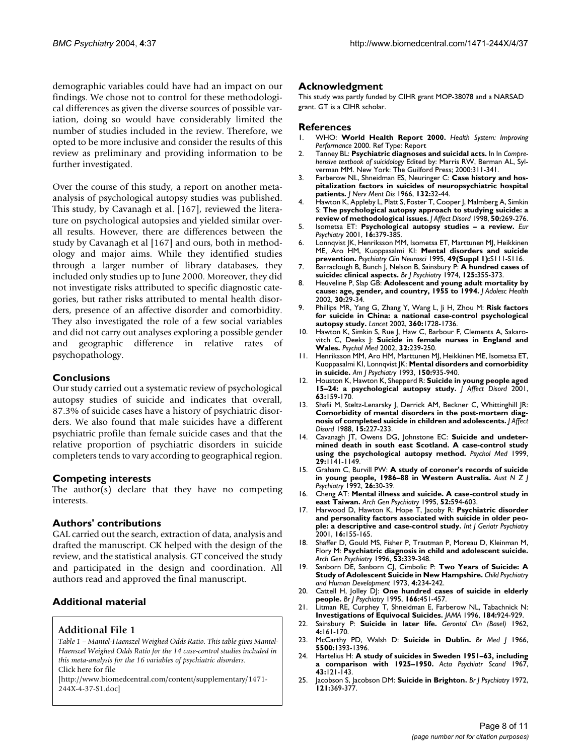demographic variables could have had an impact on our findings. We chose not to control for these methodological differences as given the diverse sources of possible variation, doing so would have considerably limited the number of studies included in the review. Therefore, we opted to be more inclusive and consider the results of this review as preliminary and providing information to be further investigated.

Over the course of this study, a report on another metaanalysis of psychological autopsy studies was published. This study, by Cavanagh et al. [167], reviewed the literature on psychological autopsies and yielded similar overall results. However, there are differences between the study by Cavanagh et al [167] and ours, both in methodology and major aims. While they identified studies through a larger number of library databases, they included only studies up to June 2000. Moreover, they did not investigate risks attributed to specific diagnostic categories, but rather risks attributed to mental health disorders, presence of an affective disorder and comorbidity. They also investigated the role of a few social variables and did not carry out analyses exploring a possible gender and geographic difference in relative rates of psychopathology.

### **Conclusions**

Our study carried out a systematic review of psychological autopsy studies of suicide and indicates that overall, 87.3% of suicide cases have a history of psychiatric disorders. We also found that male suicides have a different psychiatric profile than female suicide cases and that the relative proportion of psychiatric disorders in suicide completers tends to vary according to geographical region.

#### **Competing interests**

The author(s) declare that they have no competing interests.

#### **Authors' contributions**

GAL carried out the search, extraction of data, analysis and drafted the manuscript. CK helped with the design of the review, and the statistical analysis. GT conceived the study and participated in the design and coordination. All authors read and approved the final manuscript.

# **Additional material**

#### **Additional File 1**

*Table 1 – Mantel-Haenszel Weighed Odds Ratio. This table gives Mantel-Haenszel Weighed Odds Ratio for the 14 case-control studies included in this meta-analysis for the 16 variables of psychiatric disorders.* Click here for file

[\[http://www.biomedcentral.com/content/supplementary/1471-](http://www.biomedcentral.com/content/supplementary/1471-244X-4-37-S1.doc) 244X-4-37-S1.doc]

### **Acknowledgment**

This study was partly funded by CIHR grant MOP-38078 and a NARSAD grant. GT is a CIHR scholar.

#### **References**

- 1. WHO: **World Health Report 2000.** *Health System: Improving Performance* 2000. Ref Type: Report
- 2. Tanney BL: **Psychiatric diagnoses and suicidal acts.** In In *Comprehensive textbook of suicidology* Edited by: Marris RW, Berman AL, Sylverman MM. New York: The Guilford Press; 2000:311-341.
- 3. Farberow NL, Shneidman ES, Neuringer C: **Case history and hospitalization factors in suicides of neuropsychiatric hospital patients.** *J Nerv Ment Dis* 1966, **132:**32-44.
- 4. Hawton K, Appleby L, Platt S, Foster T, Cooper J, Malmberg A, Simkin S: **[The psychological autopsy approach to studying suicide: a](http://www.ncbi.nlm.nih.gov/entrez/query.fcgi?cmd=Retrieve&db=PubMed&dopt=Abstract&list_uids=9858086) [review of methodological issues.](http://www.ncbi.nlm.nih.gov/entrez/query.fcgi?cmd=Retrieve&db=PubMed&dopt=Abstract&list_uids=9858086)** *J Affect Disord* 1998, **50:**269-276.
- 5. Isometsa ET: **[Psychological autopsy studies a review.](http://www.ncbi.nlm.nih.gov/entrez/query.fcgi?cmd=Retrieve&db=PubMed&dopt=Abstract&list_uids=11728849)** *Eur Psychiatry* 2001, **16:**379-385.
- 6. Lonnqvist JK, Henriksson MM, Isometsa ET, Marttunen MJ, Heikkinen ME, Aro HM, Kuoppasalmi KI: **[Mental disorders and suicide](http://www.ncbi.nlm.nih.gov/entrez/query.fcgi?cmd=Retrieve&db=PubMed&dopt=Abstract&list_uids=9179954) [prevention.](http://www.ncbi.nlm.nih.gov/entrez/query.fcgi?cmd=Retrieve&db=PubMed&dopt=Abstract&list_uids=9179954)** *Psychiatry Clin Neurosci* 1995, **49(Suppl 1):**S111-S116.
- 7. Barraclough B, Bunch J, Nelson B, Sainsbury P: **[A hundred cases of](http://www.ncbi.nlm.nih.gov/entrez/query.fcgi?cmd=Retrieve&db=PubMed&dopt=Abstract&list_uids=4425774) [suicide: clinical aspects.](http://www.ncbi.nlm.nih.gov/entrez/query.fcgi?cmd=Retrieve&db=PubMed&dopt=Abstract&list_uids=4425774)** *Br J Psychiatry* 1974, **125:**355-373.
- 8. Heuveline P, Slap GB: **[Adolescent and young adult mortality by](http://www.ncbi.nlm.nih.gov/entrez/query.fcgi?cmd=Retrieve&db=PubMed&dopt=Abstract&list_uids=11755798) [cause: age, gender, and country, 1955 to 1994.](http://www.ncbi.nlm.nih.gov/entrez/query.fcgi?cmd=Retrieve&db=PubMed&dopt=Abstract&list_uids=11755798)** *J Adolesc Health* 2002, **30:**29-34.
- 9. Phillips MR, Yang G, Zhang Y, Wang L, Ji H, Zhou M: **[Risk factors](http://www.ncbi.nlm.nih.gov/entrez/query.fcgi?cmd=Retrieve&db=PubMed&dopt=Abstract&list_uids=12480425) [for suicide in China: a national case-control psychological](http://www.ncbi.nlm.nih.gov/entrez/query.fcgi?cmd=Retrieve&db=PubMed&dopt=Abstract&list_uids=12480425) [autopsy study.](http://www.ncbi.nlm.nih.gov/entrez/query.fcgi?cmd=Retrieve&db=PubMed&dopt=Abstract&list_uids=12480425)** *Lancet* 2002, **360:**1728-1736.
- 10. Hawton K, Simkin S, Rue J, Haw C, Barbour F, Clements A, Sakarovitch C, Deeks J: **[Suicide in female nurses in England and](http://www.ncbi.nlm.nih.gov/entrez/query.fcgi?cmd=Retrieve&db=PubMed&dopt=Abstract&list_uids=11866319) [Wales.](http://www.ncbi.nlm.nih.gov/entrez/query.fcgi?cmd=Retrieve&db=PubMed&dopt=Abstract&list_uids=11866319)** *Psychol Med* 2002, **32:**239-250.
- 11. Henriksson MM, Aro HM, Marttunen MJ, Heikkinen ME, Isometsa ET, Kuoppasalmi KI, Lonnqvist JK: **[Mental disorders and comorbidity](http://www.ncbi.nlm.nih.gov/entrez/query.fcgi?cmd=Retrieve&db=PubMed&dopt=Abstract&list_uids=8494072) [in suicide.](http://www.ncbi.nlm.nih.gov/entrez/query.fcgi?cmd=Retrieve&db=PubMed&dopt=Abstract&list_uids=8494072)** *Am J Psychiatry* 1993, **150:**935-940.
- 12. Houston K, Hawton K, Shepperd R: **[Suicide in young people aged](http://www.ncbi.nlm.nih.gov/entrez/query.fcgi?cmd=Retrieve&db=PubMed&dopt=Abstract&list_uids=11246092) [15–24: a psychological autopsy study.](http://www.ncbi.nlm.nih.gov/entrez/query.fcgi?cmd=Retrieve&db=PubMed&dopt=Abstract&list_uids=11246092)** *J Affect Disord* 2001, **63:**159-170.
- 13. Shafii M, Steltz-Lenarsky J, Derrick AM, Beckner C, Whittinghill JR: **[Comorbidity of mental disorders in the post-mortem diag](http://www.ncbi.nlm.nih.gov/entrez/query.fcgi?cmd=Retrieve&db=PubMed&dopt=Abstract&list_uids=2975295)[nosis of completed suicide in children and adolescents.](http://www.ncbi.nlm.nih.gov/entrez/query.fcgi?cmd=Retrieve&db=PubMed&dopt=Abstract&list_uids=2975295)** *J Affect Disord* 1988, **15:**227-233.
- 14. Cavanagh JT, Owens DG, Johnstone EC: **[Suicide and undeter](http://www.ncbi.nlm.nih.gov/entrez/query.fcgi?cmd=Retrieve&db=PubMed&dopt=Abstract&list_uids=10576306)[mined death in south east Scotland. A case-control study](http://www.ncbi.nlm.nih.gov/entrez/query.fcgi?cmd=Retrieve&db=PubMed&dopt=Abstract&list_uids=10576306) [using the psychological autopsy method.](http://www.ncbi.nlm.nih.gov/entrez/query.fcgi?cmd=Retrieve&db=PubMed&dopt=Abstract&list_uids=10576306)** *Psychol Med* 1999, **29:**1141-1149.
- 15. Graham C, Burvill PW: **[A study of coroner's records of suicide](http://www.ncbi.nlm.nih.gov/entrez/query.fcgi?cmd=Retrieve&db=PubMed&dopt=Abstract&list_uids=1580884) [in young people, 1986–88 in Western Australia.](http://www.ncbi.nlm.nih.gov/entrez/query.fcgi?cmd=Retrieve&db=PubMed&dopt=Abstract&list_uids=1580884)** *Aust N Z J Psychiatry* 1992, **26:**30-39.
- 16. Cheng AT: **[Mental illness and suicide. A case-control study in](http://www.ncbi.nlm.nih.gov/entrez/query.fcgi?cmd=Retrieve&db=PubMed&dopt=Abstract&list_uids=7598636) [east Taiwan.](http://www.ncbi.nlm.nih.gov/entrez/query.fcgi?cmd=Retrieve&db=PubMed&dopt=Abstract&list_uids=7598636)** *Arch Gen Psychiatry* 1995, **52:**594-603.
- 17. Harwood D, Hawton K, Hope T, Jacoby R: **[Psychiatric disorder](http://www.ncbi.nlm.nih.gov/entrez/query.fcgi?cmd=Retrieve&db=PubMed&dopt=Abstract&list_uids=11241720) [and personality factors associated with suicide in older peo](http://www.ncbi.nlm.nih.gov/entrez/query.fcgi?cmd=Retrieve&db=PubMed&dopt=Abstract&list_uids=11241720)[ple: a descriptive and case-control study.](http://www.ncbi.nlm.nih.gov/entrez/query.fcgi?cmd=Retrieve&db=PubMed&dopt=Abstract&list_uids=11241720)** *Int J Geriatr Psychiatry* 2001, **16:**155-165.
- 18. Shaffer D, Gould MS, Fisher P, Trautman P, Moreau D, Kleinman M, Flory M: **[Psychiatric diagnosis in child and adolescent suicide.](http://www.ncbi.nlm.nih.gov/entrez/query.fcgi?cmd=Retrieve&db=PubMed&dopt=Abstract&list_uids=8634012)** *Arch Gen Psychiatry* 1996, **53:**339-348.
- 19. Sanborn DE, Sanborn CJ, Cimbolic P: **Two Years of Suicide: A Study of Adolescent Suicide in New Hampshire.** *Child Psychiatry and Human Development* 1973, **4:**234-242.
- 20. Cattell H, Jolley DJ: **[One hundred cases of suicide in elderly](http://www.ncbi.nlm.nih.gov/entrez/query.fcgi?cmd=Retrieve&db=PubMed&dopt=Abstract&list_uids=7795915) [people.](http://www.ncbi.nlm.nih.gov/entrez/query.fcgi?cmd=Retrieve&db=PubMed&dopt=Abstract&list_uids=7795915)** *Br J Psychiatry* 1995, **166:**451-457.
- 21. Litman RE, Curphey T, Shneidman E, Farberow NL, Tabachnick N: **Investigations of Equivocal Suicides.** *JAMA* 1996, **184:**924-929.
- 22. Sainsbury P: **[Suicide in later life.](http://www.ncbi.nlm.nih.gov/entrez/query.fcgi?cmd=Retrieve&db=PubMed&dopt=Abstract&list_uids=14496074)** *Gerontol Clin (Basel)* 1962, **4:**161-170.
- 23. McCarthy PD, Walsh D: **[Suicide in Dublin.](http://www.ncbi.nlm.nih.gov/entrez/query.fcgi?cmd=Retrieve&db=PubMed&dopt=Abstract&list_uids=5932735)** *Br Med J* 1966, **5500:**1393-1396.
- 24. Hartelius H: **[A study of suicides in Sweden 1951–63, including](http://www.ncbi.nlm.nih.gov/entrez/query.fcgi?cmd=Retrieve&db=PubMed&dopt=Abstract&list_uids=6077781) [a comparison with 1925–1950.](http://www.ncbi.nlm.nih.gov/entrez/query.fcgi?cmd=Retrieve&db=PubMed&dopt=Abstract&list_uids=6077781)** *Acta Psychiatr Scand* 1967, **43:**121-143.
- 25. Jacobson S, Jacobson DM: **[Suicide in Brighton.](http://www.ncbi.nlm.nih.gov/entrez/query.fcgi?cmd=Retrieve&db=PubMed&dopt=Abstract&list_uids=5077093)** *Br J Psychiatry* 1972, **121:**369-377.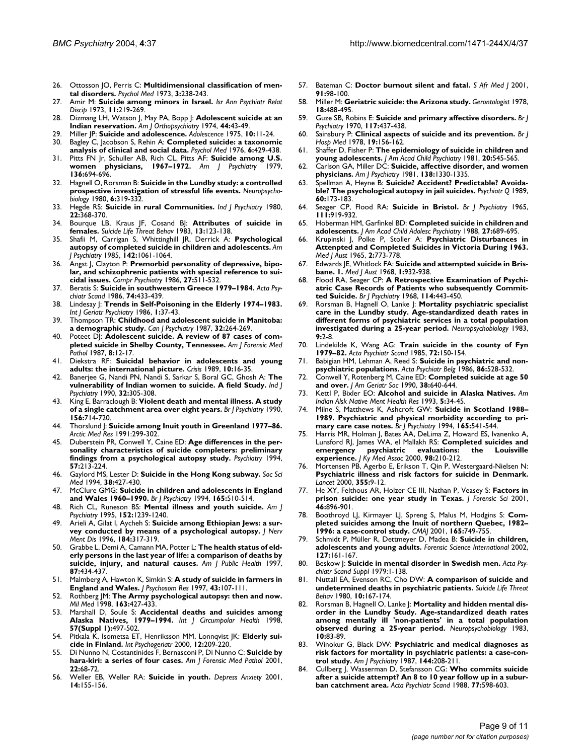- 26. Ottosson JO, Perris C: **[Multidimensional classification of men](http://www.ncbi.nlm.nih.gov/entrez/query.fcgi?cmd=Retrieve&db=PubMed&dopt=Abstract&list_uids=4715856)[tal disorders.](http://www.ncbi.nlm.nih.gov/entrez/query.fcgi?cmd=Retrieve&db=PubMed&dopt=Abstract&list_uids=4715856)** *Psychol Med* 1973, **3:**238-243.
- 27. Amir M: **[Suicide among minors in Israel.](http://www.ncbi.nlm.nih.gov/entrez/query.fcgi?cmd=Retrieve&db=PubMed&dopt=Abstract&list_uids=4520333)** *Isr Ann Psychiatr Relat Discip* 1973, **11:**219-269.
- 28. Dizmang LH, Watson J, May PA, Bopp J: **[Adolescent suicide at an](http://www.ncbi.nlm.nih.gov/entrez/query.fcgi?cmd=Retrieve&db=PubMed&dopt=Abstract&list_uids=4809584) [Indian reservation.](http://www.ncbi.nlm.nih.gov/entrez/query.fcgi?cmd=Retrieve&db=PubMed&dopt=Abstract&list_uids=4809584)** *Am J Orthopsychiatry* 1974, **44:**43-49.
- 29. Miller JP: **[Suicide and adolescence.](http://www.ncbi.nlm.nih.gov/entrez/query.fcgi?cmd=Retrieve&db=PubMed&dopt=Abstract&list_uids=1124679)** *Adolescence* 1975, **10:**11-24.
- 30. Bagley C, Jacobson S, Rehin A: **[Completed suicide: a taxonomic](http://www.ncbi.nlm.nih.gov/entrez/query.fcgi?cmd=Retrieve&db=PubMed&dopt=Abstract&list_uids=996203) [analysis of clinical and social data.](http://www.ncbi.nlm.nih.gov/entrez/query.fcgi?cmd=Retrieve&db=PubMed&dopt=Abstract&list_uids=996203)** *Psychol Med* 1976, **6:**429-438.
- 31. Pitts FN Jr, Schuller AB, Rich CL, Pitts AF: **[Suicide among U.S.](http://www.ncbi.nlm.nih.gov/entrez/query.fcgi?cmd=Retrieve&db=PubMed&dopt=Abstract&list_uids=434249) [women physicians, 1967–1972.](http://www.ncbi.nlm.nih.gov/entrez/query.fcgi?cmd=Retrieve&db=PubMed&dopt=Abstract&list_uids=434249)** *Am J Psychiatry* 1979, **136:**694-696.
- 32. Hagnell O, Rorsman B: **[Suicide in the Lundby study: a controlled](http://www.ncbi.nlm.nih.gov/entrez/query.fcgi?cmd=Retrieve&db=PubMed&dopt=Abstract&list_uids=7443006) [prospective investigation of stressful life events.](http://www.ncbi.nlm.nih.gov/entrez/query.fcgi?cmd=Retrieve&db=PubMed&dopt=Abstract&list_uids=7443006)** *Neuropsychobiology* 1980, **6:**319-332.
- 33. Hegde RS: **Suicide in rural Communities.** *Ind J Psychiatry* 1980, **22:**368-370.
- 34. Bourque LB, Kraus JF, Cosand BJ: **[Attributes of suicide in](http://www.ncbi.nlm.nih.gov/entrez/query.fcgi?cmd=Retrieve&db=PubMed&dopt=Abstract&list_uids=6659008) [females.](http://www.ncbi.nlm.nih.gov/entrez/query.fcgi?cmd=Retrieve&db=PubMed&dopt=Abstract&list_uids=6659008)** *Suicide Life Threat Behav* 1983, **13:**123-138.
- 35. Shafii M, Carrigan S, Whittinghill JR, Derrick A: **[Psychological](http://www.ncbi.nlm.nih.gov/entrez/query.fcgi?cmd=Retrieve&db=PubMed&dopt=Abstract&list_uids=4025622) [autopsy of completed suicide in children and adolescents.](http://www.ncbi.nlm.nih.gov/entrez/query.fcgi?cmd=Retrieve&db=PubMed&dopt=Abstract&list_uids=4025622)** *Am J Psychiatry* 1985, **142:**1061-1064.
- 36. Angst J, Clayton P: **[Premorbid personality of depressive, bipo](http://www.ncbi.nlm.nih.gov/entrez/query.fcgi?cmd=Retrieve&db=PubMed&dopt=Abstract&list_uids=3780193)[lar, and schizophrenic patients with special reference to sui](http://www.ncbi.nlm.nih.gov/entrez/query.fcgi?cmd=Retrieve&db=PubMed&dopt=Abstract&list_uids=3780193)[cidal issues.](http://www.ncbi.nlm.nih.gov/entrez/query.fcgi?cmd=Retrieve&db=PubMed&dopt=Abstract&list_uids=3780193)** *Compr Psychiatry* 1986, **27:**511-532.
- 37. Beratis S: **[Suicide in southwestern Greece 1979–1984.](http://www.ncbi.nlm.nih.gov/entrez/query.fcgi?cmd=Retrieve&db=PubMed&dopt=Abstract&list_uids=3812005)** *Acta Psychiatr Scand* 1986, **74:**433-439.
- 38. Lindesay J: **Trends in Self-Poisoning in the Elderly 1974–1983.** *Int J Geriatr Psychiatry* 1986, **1:**37-43.
- 39. Thompson TR: **[Childhood and adolescent suicide in Manitoba:](http://www.ncbi.nlm.nih.gov/entrez/query.fcgi?cmd=Retrieve&db=PubMed&dopt=Abstract&list_uids=3496950) [a demographic study.](http://www.ncbi.nlm.nih.gov/entrez/query.fcgi?cmd=Retrieve&db=PubMed&dopt=Abstract&list_uids=3496950)** *Can J Psychiatry* 1987, **32:**264-269.
- 40. Poteet DJ: **[Adolescent suicide. A review of 87 cases of com](http://www.ncbi.nlm.nih.gov/entrez/query.fcgi?cmd=Retrieve&db=PubMed&dopt=Abstract&list_uids=3578199)[pleted suicide in Shelby County, Tennessee.](http://www.ncbi.nlm.nih.gov/entrez/query.fcgi?cmd=Retrieve&db=PubMed&dopt=Abstract&list_uids=3578199)** *Am J Forensic Med Pathol* 1987, **8:**12-17.
- 41. Diekstra RF: **[Suicidal behavior in adolescents and young](http://www.ncbi.nlm.nih.gov/entrez/query.fcgi?cmd=Retrieve&db=PubMed&dopt=Abstract&list_uids=2786795) [adults: the international picture.](http://www.ncbi.nlm.nih.gov/entrez/query.fcgi?cmd=Retrieve&db=PubMed&dopt=Abstract&list_uids=2786795)** *Crisis* 1989, **10:**16-35.
- 42. Banerjee G, Nandi PN, Nandi S, Sarkar S, Boral GC, Ghosh A: **The vulnerability of Indian women to suicide. A field Study.** *Ind J Psychiatry* 1990, **32:**305-308.
- 43. King E, Barraclough B: **[Violent death and mental illness. A study](http://www.ncbi.nlm.nih.gov/entrez/query.fcgi?cmd=Retrieve&db=PubMed&dopt=Abstract&list_uids=2095949) [of a single catchment area over eight years.](http://www.ncbi.nlm.nih.gov/entrez/query.fcgi?cmd=Retrieve&db=PubMed&dopt=Abstract&list_uids=2095949)** *Br J Psychiatry* 1990, **156:**714-720.
- 44. Thorslund J: **[Suicide among Inuit youth in Greenland 1977–86.](http://www.ncbi.nlm.nih.gov/entrez/query.fcgi?cmd=Retrieve&db=PubMed&dopt=Abstract&list_uids=1365135)** *Arctic Med Res* 1991:299-302.
- 45. Duberstein PR, Conwell Y, Caine ED: **[Age differences in the per](http://www.ncbi.nlm.nih.gov/entrez/query.fcgi?cmd=Retrieve&db=PubMed&dopt=Abstract&list_uids=7800770)[sonality characteristics of suicide completers: preliminary](http://www.ncbi.nlm.nih.gov/entrez/query.fcgi?cmd=Retrieve&db=PubMed&dopt=Abstract&list_uids=7800770) [findings from a psychological autopsy study.](http://www.ncbi.nlm.nih.gov/entrez/query.fcgi?cmd=Retrieve&db=PubMed&dopt=Abstract&list_uids=7800770)** *Psychiatry* 1994, **57:**213-224.
- 46. Gaylord MS, Lester D: **[Suicide in the Hong Kong subway.](http://www.ncbi.nlm.nih.gov/entrez/query.fcgi?cmd=Retrieve&db=PubMed&dopt=Abstract&list_uids=8153746)** *Soc Sci Med* 1994, **38:**427-430.
- 47. McClure GMG: **[Suicide in children and adolescents in England](http://www.ncbi.nlm.nih.gov/entrez/query.fcgi?cmd=Retrieve&db=PubMed&dopt=Abstract&list_uids=7528624) [and Wales 1960–1990.](http://www.ncbi.nlm.nih.gov/entrez/query.fcgi?cmd=Retrieve&db=PubMed&dopt=Abstract&list_uids=7528624)** *Br J Psychiatry* 1994, **165:**510-514.
- 48. Rich CL, Runeson BS: **[Mental illness and youth suicide.](http://www.ncbi.nlm.nih.gov/entrez/query.fcgi?cmd=Retrieve&db=PubMed&dopt=Abstract&list_uids=7625487)** *Am J Psychiatry* 1995, **152:**1239-1240.
- 49. Arieli A, Gilat I, Aycheh S: **[Suicide among Ethiopian Jews: a sur](http://www.ncbi.nlm.nih.gov/entrez/query.fcgi?cmd=Retrieve&db=PubMed&dopt=Abstract&list_uids=8627279)[vey conducted by means of a psychological autopsy.](http://www.ncbi.nlm.nih.gov/entrez/query.fcgi?cmd=Retrieve&db=PubMed&dopt=Abstract&list_uids=8627279)** *J Nerv Ment Dis* 1996, **184:**317-319.
- 50. Grabbe L, Demi A, Camann MA, Potter L: **[The health status of eld](http://www.ncbi.nlm.nih.gov/entrez/query.fcgi?cmd=Retrieve&db=PubMed&dopt=Abstract&list_uids=9096548)[erly persons in the last year of life: a comparison of deaths by](http://www.ncbi.nlm.nih.gov/entrez/query.fcgi?cmd=Retrieve&db=PubMed&dopt=Abstract&list_uids=9096548) [suicide, injury, and natural causes.](http://www.ncbi.nlm.nih.gov/entrez/query.fcgi?cmd=Retrieve&db=PubMed&dopt=Abstract&list_uids=9096548)** *Am J Public Health* 1997, **87:**434-437.
- 51. Malmberg A, Hawton K, Simkin S: **[A study of suicide in farmers in](http://www.ncbi.nlm.nih.gov/entrez/query.fcgi?cmd=Retrieve&db=PubMed&dopt=Abstract&list_uids=9263937) [England and Wales.](http://www.ncbi.nlm.nih.gov/entrez/query.fcgi?cmd=Retrieve&db=PubMed&dopt=Abstract&list_uids=9263937)** *J Psychosom Res* 1997, **43:**107-111.
- 52. Rothberg JM: **[The Army psychological autopsy: then and now.](http://www.ncbi.nlm.nih.gov/entrez/query.fcgi?cmd=Retrieve&db=PubMed&dopt=Abstract&list_uids=9640042)** *Mil Med* 1998, **163:**427-433.
- 53. Marshall D, Soule S: **[Accidental deaths and suicides among](http://www.ncbi.nlm.nih.gov/entrez/query.fcgi?cmd=Retrieve&db=PubMed&dopt=Abstract&list_uids=10093332) [Alaska Natives, 1979–1994.](http://www.ncbi.nlm.nih.gov/entrez/query.fcgi?cmd=Retrieve&db=PubMed&dopt=Abstract&list_uids=10093332)** *Int J Circumpolar Health* 1998, **57(Suppl 1):**497-502.
- 54. Pitkala K, Isometsa ET, Henriksson MM, Lonnqvist JK: **[Elderly sui](http://www.ncbi.nlm.nih.gov/entrez/query.fcgi?cmd=Retrieve&db=PubMed&dopt=Abstract&list_uids=10937541)[cide in Finland.](http://www.ncbi.nlm.nih.gov/entrez/query.fcgi?cmd=Retrieve&db=PubMed&dopt=Abstract&list_uids=10937541)** *Int Psychogeriatr* 2000, **12:**209-220.
- 55. Di Nunno N, Costantinides F, Bernasconi P, Di Nunno C: **[Suicide by](http://www.ncbi.nlm.nih.gov/entrez/query.fcgi?cmd=Retrieve&db=PubMed&dopt=Abstract&list_uids=11444667) [hara-kiri: a series of four cases.](http://www.ncbi.nlm.nih.gov/entrez/query.fcgi?cmd=Retrieve&db=PubMed&dopt=Abstract&list_uids=11444667)** *Am J Forensic Med Pathol* 2001, **22:**68-72.
- 56. Weller EB, Weller RA: **[Suicide in youth.](http://www.ncbi.nlm.nih.gov/entrez/query.fcgi?cmd=Retrieve&db=PubMed&dopt=Abstract&list_uids=11747124)** *Depress Anxiety* 2001, **14:**155-156.
- 57. Bateman C: **[Doctor burnout silent and fatal.](http://www.ncbi.nlm.nih.gov/entrez/query.fcgi?cmd=Retrieve&db=PubMed&dopt=Abstract&list_uids=11288406)** *S Afr Med J* 2001, **91:**98-100.
- 58. Miller M: **[Geriatric suicide: the Arizona study.](http://www.ncbi.nlm.nih.gov/entrez/query.fcgi?cmd=Retrieve&db=PubMed&dopt=Abstract&list_uids=263566)** *Gerontologist* 1978, **18:**488-495.
- 59. Guze SB, Robins E: **[Suicide and primary affective disorders.](http://www.ncbi.nlm.nih.gov/entrez/query.fcgi?cmd=Retrieve&db=PubMed&dopt=Abstract&list_uids=5481206)** *Br J Psychiatry* 1970, **117:**437-438.
- 60. Sainsbury P: **[Clinical aspects of suicide and its prevention.](http://www.ncbi.nlm.nih.gov/entrez/query.fcgi?cmd=Retrieve&db=PubMed&dopt=Abstract&list_uids=638293)** *Br J Hosp Med* 1978, **19:**156-162.
- 61. Shaffer D, Fisher P: **[The epidemiology of suicide in children and](http://www.ncbi.nlm.nih.gov/entrez/query.fcgi?cmd=Retrieve&db=PubMed&dopt=Abstract&list_uids=7310021) [young adolescents.](http://www.ncbi.nlm.nih.gov/entrez/query.fcgi?cmd=Retrieve&db=PubMed&dopt=Abstract&list_uids=7310021)** *J Am Acad Child Psychiatry* 1981, **20:**545-565.
- 62. Carlson GA, Miller DC: **[Suicide, affective disorder, and women](http://www.ncbi.nlm.nih.gov/entrez/query.fcgi?cmd=Retrieve&db=PubMed&dopt=Abstract&list_uids=7294189) [physicians.](http://www.ncbi.nlm.nih.gov/entrez/query.fcgi?cmd=Retrieve&db=PubMed&dopt=Abstract&list_uids=7294189)** *Am J Psychiatry* 1981, **138:**1330-1335.
- 63. Spellman A, Heyne B: **[Suicide? Accident? Predictable? Avoida](http://www.ncbi.nlm.nih.gov/entrez/query.fcgi?cmd=Retrieve&db=PubMed&dopt=Abstract&list_uids=2813651)[ble? The psychological autopsy in jail suicides.](http://www.ncbi.nlm.nih.gov/entrez/query.fcgi?cmd=Retrieve&db=PubMed&dopt=Abstract&list_uids=2813651)** *Psychiatr Q* 1989, **60:**173-183.
- 64. Seager CP, Flood RA: **[Suicide in Bristol.](http://www.ncbi.nlm.nih.gov/entrez/query.fcgi?cmd=Retrieve&db=PubMed&dopt=Abstract&list_uids=5833604)** *Br J Psychiatry* 1965, **111:**919-932.
- 65. Hoberman HM, Garfinkel BD: **[Completed suicide in children and](http://www.ncbi.nlm.nih.gov/entrez/query.fcgi?cmd=Retrieve&db=PubMed&dopt=Abstract&list_uids=3198553) [adolescents.](http://www.ncbi.nlm.nih.gov/entrez/query.fcgi?cmd=Retrieve&db=PubMed&dopt=Abstract&list_uids=3198553)** *J Am Acad Child Adolesc Psychiatry* 1988, **27:**689-695.
- 66. Krupinski J, Polke P, Stoller A: **[Psychiatric Disturbances in](http://www.ncbi.nlm.nih.gov/entrez/query.fcgi?cmd=Retrieve&db=PubMed&dopt=Abstract&list_uids=5852205) [Attenpted and Completed Suicides in Victoria During 1963.](http://www.ncbi.nlm.nih.gov/entrez/query.fcgi?cmd=Retrieve&db=PubMed&dopt=Abstract&list_uids=5852205)** *Med J Aust* 1965, **2:**773-778.
- 67. Edwards JE, Whitlock FA: **[Suicide and attempted suicide in Bris](http://www.ncbi.nlm.nih.gov/entrez/query.fcgi?cmd=Retrieve&db=PubMed&dopt=Abstract&list_uids=5654810)[bane. 1.](http://www.ncbi.nlm.nih.gov/entrez/query.fcgi?cmd=Retrieve&db=PubMed&dopt=Abstract&list_uids=5654810)** *Med J Aust* 1968, **1:**932-938.
- 68. Flood RA, Seager CP: **[A Retrospective Examination of Psychi](http://www.ncbi.nlm.nih.gov/entrez/query.fcgi?cmd=Retrieve&db=PubMed&dopt=Abstract&list_uids=5656263)[atric Case Records of Patients who subsequently Commit](http://www.ncbi.nlm.nih.gov/entrez/query.fcgi?cmd=Retrieve&db=PubMed&dopt=Abstract&list_uids=5656263)[ted Suicide.](http://www.ncbi.nlm.nih.gov/entrez/query.fcgi?cmd=Retrieve&db=PubMed&dopt=Abstract&list_uids=5656263)** *Br J Psychiatry* 1968, **114:**443-450.
- 69. Rorsman B, Hagnell O, Lanke J: **[Mortality psychiatric specialist](http://www.ncbi.nlm.nih.gov/entrez/query.fcgi?cmd=Retrieve&db=PubMed&dopt=Abstract&list_uids=6888706) [care in the Lundby study. Age-standardized death rates in](http://www.ncbi.nlm.nih.gov/entrez/query.fcgi?cmd=Retrieve&db=PubMed&dopt=Abstract&list_uids=6888706) different forms of psychiatric services in a total population [investigated during a 25-year period.](http://www.ncbi.nlm.nih.gov/entrez/query.fcgi?cmd=Retrieve&db=PubMed&dopt=Abstract&list_uids=6888706)** *Neuropsychobiology* 1983, **9:**2-8.
- 70. Lindekilde K, Wang AG: **[Train suicide in the county of Fyn](http://www.ncbi.nlm.nih.gov/entrez/query.fcgi?cmd=Retrieve&db=PubMed&dopt=Abstract&list_uids=3876689) [1979–82.](http://www.ncbi.nlm.nih.gov/entrez/query.fcgi?cmd=Retrieve&db=PubMed&dopt=Abstract&list_uids=3876689)** *Acta Psychiatr Scand* 1985, **72:**150-154.
- 71. Babigian HM, Lehman A, Reed S: **[Suicide in psychiatric and non](http://www.ncbi.nlm.nih.gov/entrez/query.fcgi?cmd=Retrieve&db=PubMed&dopt=Abstract&list_uids=3825563)[psychiatric populations.](http://www.ncbi.nlm.nih.gov/entrez/query.fcgi?cmd=Retrieve&db=PubMed&dopt=Abstract&list_uids=3825563)** *Acta Psychiatr Belg* 1986, **86:**528-532.
- 72. Conwell Y, Rotenberg M, Caine ED: **[Completed suicide at age 50](http://www.ncbi.nlm.nih.gov/entrez/query.fcgi?cmd=Retrieve&db=PubMed&dopt=Abstract&list_uids=2358625) [and over.](http://www.ncbi.nlm.nih.gov/entrez/query.fcgi?cmd=Retrieve&db=PubMed&dopt=Abstract&list_uids=2358625)** *J Am Geriatr Soc* 1990, **38:**640-644.
- 73. Kettl P, Bixler EO: **[Alcohol and suicide in Alaska Natives.](http://www.ncbi.nlm.nih.gov/entrez/query.fcgi?cmd=Retrieve&db=PubMed&dopt=Abstract&list_uids=8130312)** *Am Indian Alsk Native Ment Health Res* 1993, **5:**34-45.
- 74. Milne S, Matthews K, Ashcroft GW: **[Suicide in Scotland 1988–](http://www.ncbi.nlm.nih.gov/entrez/query.fcgi?cmd=Retrieve&db=PubMed&dopt=Abstract&list_uids=7804672) [1989. Psychiatric and physical morbidity according to pri](http://www.ncbi.nlm.nih.gov/entrez/query.fcgi?cmd=Retrieve&db=PubMed&dopt=Abstract&list_uids=7804672)[mary care case notes.](http://www.ncbi.nlm.nih.gov/entrez/query.fcgi?cmd=Retrieve&db=PubMed&dopt=Abstract&list_uids=7804672)** *Br J Psychiatry* 1994, **165:**541-544.
- 75. Harris MR, Holman J, Bates AA, DeLima Z, Howard ES, Ivanenko A, Lunsford RJ, James WA, el Mallakh RS: **[Completed suicides and](http://www.ncbi.nlm.nih.gov/entrez/query.fcgi?cmd=Retrieve&db=PubMed&dopt=Abstract&list_uids=10835836)** emergency psychiatric evaluations: **[experience.](http://www.ncbi.nlm.nih.gov/entrez/query.fcgi?cmd=Retrieve&db=PubMed&dopt=Abstract&list_uids=10835836)** *J Ky Med Assoc* 2000, **98:**210-212.
- 76. Mortensen PB, Agerbo E, Erikson T, Qin P, Westergaard-Nielsen N: **[Psychiatric illness and risk factors for suicide in Denmark.](http://www.ncbi.nlm.nih.gov/entrez/query.fcgi?cmd=Retrieve&db=PubMed&dopt=Abstract&list_uids=10615884)** *Lancet* 2000, **355:**9-12.
- 77. He XY, Felthous AR, Holzer CE III, Nathan P, Veasey S: **[Factors in](http://www.ncbi.nlm.nih.gov/entrez/query.fcgi?cmd=Retrieve&db=PubMed&dopt=Abstract&list_uids=11451074) [prison suicide: one year study in Texas.](http://www.ncbi.nlm.nih.gov/entrez/query.fcgi?cmd=Retrieve&db=PubMed&dopt=Abstract&list_uids=11451074)** *J Forensic Sci* 2001, **46:**896-901.
- 78. Boothroyd LJ, Kirmayer LJ, Spreng S, Malus M, Hodgins S: **[Com](http://www.ncbi.nlm.nih.gov/entrez/query.fcgi?cmd=Retrieve&db=PubMed&dopt=Abstract&list_uids=11584562)[pleted suicides among the Inuit of northern Quebec, 1982–](http://www.ncbi.nlm.nih.gov/entrez/query.fcgi?cmd=Retrieve&db=PubMed&dopt=Abstract&list_uids=11584562) [1996: a case-control study.](http://www.ncbi.nlm.nih.gov/entrez/query.fcgi?cmd=Retrieve&db=PubMed&dopt=Abstract&list_uids=11584562)** *CMAJ* 2001, **165:**749-755.
- 79. Schmidt P, Müller R, Dettmeyer D, Madea B: **[Suicide in children,](http://www.ncbi.nlm.nih.gov/entrez/query.fcgi?cmd=Retrieve&db=PubMed&dopt=Abstract&list_uids=12175945) [adolescents and young adults.](http://www.ncbi.nlm.nih.gov/entrez/query.fcgi?cmd=Retrieve&db=PubMed&dopt=Abstract&list_uids=12175945)** *Forensic Science International* 2002, **127:**161-167.
- 80. Beskow J: **[Suicide in mental disorder in Swedish men.](http://www.ncbi.nlm.nih.gov/entrez/query.fcgi?cmd=Retrieve&db=PubMed&dopt=Abstract&list_uids=286500)** *Acta Psychiatr Scand Suppl* 1979:1-138.
- 81. Nuttall EA, Evenson RC, Cho DW: **[A comparison of suicide and](http://www.ncbi.nlm.nih.gov/entrez/query.fcgi?cmd=Retrieve&db=PubMed&dopt=Abstract&list_uids=7210103) [undetermined deaths in psychiatric patients.](http://www.ncbi.nlm.nih.gov/entrez/query.fcgi?cmd=Retrieve&db=PubMed&dopt=Abstract&list_uids=7210103)** *Suicide Life Threat Behav* 1980, **10:**167-174.
- 82. Rorsman B, Hagnell O, Lanke J: **[Mortality and hidden mental dis](http://www.ncbi.nlm.nih.gov/entrez/query.fcgi?cmd=Retrieve&db=PubMed&dopt=Abstract&list_uids=6674830)[order in the Lundby Study. Age-standardized death rates](http://www.ncbi.nlm.nih.gov/entrez/query.fcgi?cmd=Retrieve&db=PubMed&dopt=Abstract&list_uids=6674830) among mentally ill 'non-patients' in a total population [observed during a 25-year period.](http://www.ncbi.nlm.nih.gov/entrez/query.fcgi?cmd=Retrieve&db=PubMed&dopt=Abstract&list_uids=6674830)** *Neuropsychobiology* 1983, **10:**83-89.
- 83. Winokur G, Black DW: **[Psychiatric and medical diagnoses as](http://www.ncbi.nlm.nih.gov/entrez/query.fcgi?cmd=Retrieve&db=PubMed&dopt=Abstract&list_uids=3812790) [risk factors for mortality in psychiatric patients: a case-con](http://www.ncbi.nlm.nih.gov/entrez/query.fcgi?cmd=Retrieve&db=PubMed&dopt=Abstract&list_uids=3812790)[trol study.](http://www.ncbi.nlm.nih.gov/entrez/query.fcgi?cmd=Retrieve&db=PubMed&dopt=Abstract&list_uids=3812790)** *Am J Psychiatry* 1987, **144:**208-211.
- 84. Cullberg J, Wasserman D, Stefansson CG: **[Who commits suicide](http://www.ncbi.nlm.nih.gov/entrez/query.fcgi?cmd=Retrieve&db=PubMed&dopt=Abstract&list_uids=3407429) [after a suicide attempt? An 8 to 10 year follow up in a subur](http://www.ncbi.nlm.nih.gov/entrez/query.fcgi?cmd=Retrieve&db=PubMed&dopt=Abstract&list_uids=3407429)[ban catchment area.](http://www.ncbi.nlm.nih.gov/entrez/query.fcgi?cmd=Retrieve&db=PubMed&dopt=Abstract&list_uids=3407429)** *Acta Psychiatr Scand* 1988, **77:**598-603.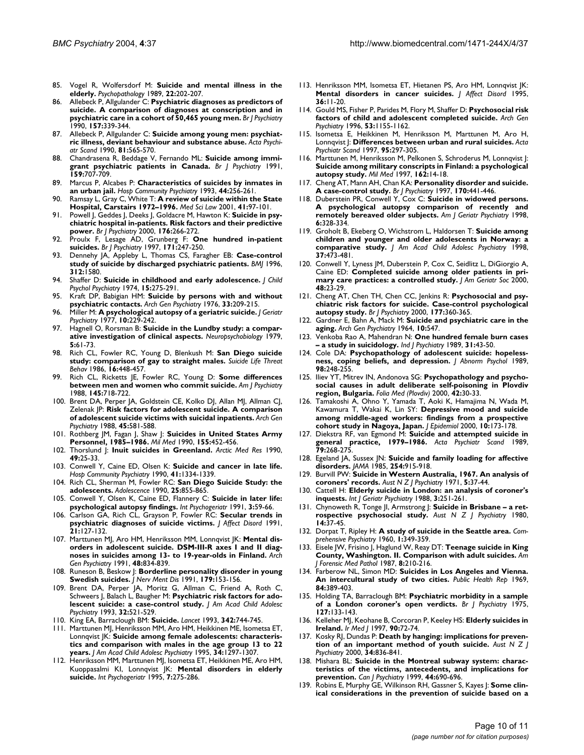- 85. Vogel R, Wolfersdorf M: **[Suicide and mental illness in the](http://www.ncbi.nlm.nih.gov/entrez/query.fcgi?cmd=Retrieve&db=PubMed&dopt=Abstract&list_uids=2678211) [elderly.](http://www.ncbi.nlm.nih.gov/entrez/query.fcgi?cmd=Retrieve&db=PubMed&dopt=Abstract&list_uids=2678211)** *Psychopathology* 1989, **22:**202-207.
- 86. Allebeck P, Allgulander C: **[Psychiatric diagnoses as predictors of](http://www.ncbi.nlm.nih.gov/entrez/query.fcgi?cmd=Retrieve&db=PubMed&dopt=Abstract&list_uids=2245261) [suicide. A comparison of diagnoses at conscription and in](http://www.ncbi.nlm.nih.gov/entrez/query.fcgi?cmd=Retrieve&db=PubMed&dopt=Abstract&list_uids=2245261) [psychiatric care in a cohort of 50,465 young men.](http://www.ncbi.nlm.nih.gov/entrez/query.fcgi?cmd=Retrieve&db=PubMed&dopt=Abstract&list_uids=2245261)** *Br J Psychiatry* 1990, **157:**339-344.
- 87. Allebeck P, Allgulander C: **[Suicide among young men: psychiat](http://www.ncbi.nlm.nih.gov/entrez/query.fcgi?cmd=Retrieve&db=PubMed&dopt=Abstract&list_uids=2378251)[ric illness, deviant behaviour and substance abuse.](http://www.ncbi.nlm.nih.gov/entrez/query.fcgi?cmd=Retrieve&db=PubMed&dopt=Abstract&list_uids=2378251)** *Acta Psychiatr Scand* 1990, **81:**565-570.
- 88. Chandrasena R, Beddage V, Fernando ML: **[Suicide among immi](http://www.ncbi.nlm.nih.gov/entrez/query.fcgi?cmd=Retrieve&db=PubMed&dopt=Abstract&list_uids=1756350)[grant psychiatric patients in Canada.](http://www.ncbi.nlm.nih.gov/entrez/query.fcgi?cmd=Retrieve&db=PubMed&dopt=Abstract&list_uids=1756350)** *Br J Psychiatry* 1991, **159:**707-709.
- 89. Marcus P, Alcabes P: **[Characteristics of suicides by inmates in](http://www.ncbi.nlm.nih.gov/entrez/query.fcgi?cmd=Retrieve&db=PubMed&dopt=Abstract&list_uids=8444437) [an urban jail.](http://www.ncbi.nlm.nih.gov/entrez/query.fcgi?cmd=Retrieve&db=PubMed&dopt=Abstract&list_uids=8444437)** *Hosp Community Psychiatry* 1993, **44:**256-261.
- 90. Ramsay L, Gray C, White T: **[A review of suicide within the State](http://www.ncbi.nlm.nih.gov/entrez/query.fcgi?cmd=Retrieve&db=PubMed&dopt=Abstract&list_uids=11368404) [Hospital, Carstairs 1972–1996.](http://www.ncbi.nlm.nih.gov/entrez/query.fcgi?cmd=Retrieve&db=PubMed&dopt=Abstract&list_uids=11368404)** *Med Sci Law* 2001, **41:**97-101.
- 91. Powell J, Geddes J, Deeks J, Goldacre M, Hawton K: **[Suicide in psy](http://www.ncbi.nlm.nih.gov/entrez/query.fcgi?cmd=Retrieve&db=PubMed&dopt=Abstract&list_uids=10755075)[chiatric hospital in-patients. Risk factors and their predictive](http://www.ncbi.nlm.nih.gov/entrez/query.fcgi?cmd=Retrieve&db=PubMed&dopt=Abstract&list_uids=10755075) [power.](http://www.ncbi.nlm.nih.gov/entrez/query.fcgi?cmd=Retrieve&db=PubMed&dopt=Abstract&list_uids=10755075)** *Br J Psychiatry* 2000, **176:**266-272.
- 92. Proulx F, Lesage AD, Grunberg F: **[One hundred in-patient](http://www.ncbi.nlm.nih.gov/entrez/query.fcgi?cmd=Retrieve&db=PubMed&dopt=Abstract&list_uids=9337978) [suicides.](http://www.ncbi.nlm.nih.gov/entrez/query.fcgi?cmd=Retrieve&db=PubMed&dopt=Abstract&list_uids=9337978)** *Br J Psychiatry* 1997, **171:**247-250.
- 93. Dennehy JA, Appleby L, Thomas CS, Faragher EB: **[Case-control](http://www.ncbi.nlm.nih.gov/entrez/query.fcgi?cmd=Retrieve&db=PubMed&dopt=Abstract&list_uids=8664668) [study of suicide by discharged psychiatric patients.](http://www.ncbi.nlm.nih.gov/entrez/query.fcgi?cmd=Retrieve&db=PubMed&dopt=Abstract&list_uids=8664668)** *BMJ* 1996, **312:**1580.
- 94. Shaffer D: **[Suicide in childhood and early adolescence.](http://www.ncbi.nlm.nih.gov/entrez/query.fcgi?cmd=Retrieve&db=PubMed&dopt=Abstract&list_uids=4459418)** *J Child Psychol Psychiatry* 1974, **15:**275-291.
- 95. Kraft DP, Babigian HM: **[Suicide by persons with and without](http://www.ncbi.nlm.nih.gov/entrez/query.fcgi?cmd=Retrieve&db=PubMed&dopt=Abstract&list_uids=1252097) [psychiatric contacts.](http://www.ncbi.nlm.nih.gov/entrez/query.fcgi?cmd=Retrieve&db=PubMed&dopt=Abstract&list_uids=1252097)** *Arch Gen Psychiatry* 1976, **33:**209-215.
- 96. Miller M: **[A psychological autopsy of a geriatric suicide.](http://www.ncbi.nlm.nih.gov/entrez/query.fcgi?cmd=Retrieve&db=PubMed&dopt=Abstract&list_uids=608940)** *J Geriatr Psychiatry* 1977, **10:**229-242.
- 97. Hagnell O, Rorsman B: **[Suicide in the Lundby study: a compar](http://www.ncbi.nlm.nih.gov/entrez/query.fcgi?cmd=Retrieve&db=PubMed&dopt=Abstract&list_uids=431800)[ative investigation of clinical aspects.](http://www.ncbi.nlm.nih.gov/entrez/query.fcgi?cmd=Retrieve&db=PubMed&dopt=Abstract&list_uids=431800)** *Neuropsychobiology* 1979, **5:**61-73.
- 98. Rich CL, Fowler RC, Young D, Blenkush M: **[San Diego suicide](http://www.ncbi.nlm.nih.gov/entrez/query.fcgi?cmd=Retrieve&db=PubMed&dopt=Abstract&list_uids=3798521) [study: comparison of gay to straight males.](http://www.ncbi.nlm.nih.gov/entrez/query.fcgi?cmd=Retrieve&db=PubMed&dopt=Abstract&list_uids=3798521)** *Suicide Life Threat Behav* 1986, **16:**448-457.
- 99. Rich CL, Ricketts JE, Fowler RC, Young D: **[Some differences](http://www.ncbi.nlm.nih.gov/entrez/query.fcgi?cmd=Retrieve&db=PubMed&dopt=Abstract&list_uids=3369559) [between men and women who commit suicide.](http://www.ncbi.nlm.nih.gov/entrez/query.fcgi?cmd=Retrieve&db=PubMed&dopt=Abstract&list_uids=3369559)** *Am J Psychiatry* 1988, **145:**718-722.
- 100. Brent DA, Perper JA, Goldstein CE, Kolko DJ, Allan MJ, Allman CJ, Zelenak JP: **[Risk factors for adolescent suicide. A comparison](http://www.ncbi.nlm.nih.gov/entrez/query.fcgi?cmd=Retrieve&db=PubMed&dopt=Abstract&list_uids=3377645) [of adolescent suicide victims with suicidal inpatients.](http://www.ncbi.nlm.nih.gov/entrez/query.fcgi?cmd=Retrieve&db=PubMed&dopt=Abstract&list_uids=3377645)** *Arch Gen Psychiatry* 1988, **45:**581-588.
- 101. Rothberg JM, Fagan J, Shaw J: **[Suicides in United States Army](http://www.ncbi.nlm.nih.gov/entrez/query.fcgi?cmd=Retrieve&db=PubMed&dopt=Abstract&list_uids=2122283) [Personnel, 1985–1986.](http://www.ncbi.nlm.nih.gov/entrez/query.fcgi?cmd=Retrieve&db=PubMed&dopt=Abstract&list_uids=2122283)** *Mil Med* 1990, **155:**452-456.
- 102. Thorslund J: **[Inuit suicides in Greenland.](http://www.ncbi.nlm.nih.gov/entrez/query.fcgi?cmd=Retrieve&db=PubMed&dopt=Abstract&list_uids=2317242)** *Arctic Med Res* 1990, **49:**25-33.
- 103. Conwell Y, Caine ED, Olsen K: **[Suicide and cancer in late life.](http://www.ncbi.nlm.nih.gov/entrez/query.fcgi?cmd=Retrieve&db=PubMed&dopt=Abstract&list_uids=2276727)** *Hosp Community Psychiatry* 1990, **41:**1334-1339.
- 104. Rich CL, Sherman M, Fowler RC: **[San Diego Suicide Study: the](http://www.ncbi.nlm.nih.gov/entrez/query.fcgi?cmd=Retrieve&db=PubMed&dopt=Abstract&list_uids=2275442) [adolescents.](http://www.ncbi.nlm.nih.gov/entrez/query.fcgi?cmd=Retrieve&db=PubMed&dopt=Abstract&list_uids=2275442)** *Adolescence* 1990, **25:**855-865.
- 105. Conwell Y, Olsen K, Caine ED, Flannery C: **[Suicide in later life:](http://www.ncbi.nlm.nih.gov/entrez/query.fcgi?cmd=Retrieve&db=PubMed&dopt=Abstract&list_uids=1863707) [psychological autopsy findings.](http://www.ncbi.nlm.nih.gov/entrez/query.fcgi?cmd=Retrieve&db=PubMed&dopt=Abstract&list_uids=1863707)** *Int Psychogeriatr* 1991, **3:**59-66.
- 106. Carlson GA, Rich CL, Grayson P, Fowler RC: **[Secular trends in](http://www.ncbi.nlm.nih.gov/entrez/query.fcgi?cmd=Retrieve&db=PubMed&dopt=Abstract&list_uids=1827640) [psychiatric diagnoses of suicide victims.](http://www.ncbi.nlm.nih.gov/entrez/query.fcgi?cmd=Retrieve&db=PubMed&dopt=Abstract&list_uids=1827640)** *J Affect Disord* 1991, **21:**127-132.
- 107. Marttunen MJ, Aro HM, Henriksson MM, Lonnqvist JK: **[Mental dis](http://www.ncbi.nlm.nih.gov/entrez/query.fcgi?cmd=Retrieve&db=PubMed&dopt=Abstract&list_uids=1929774)[orders in adolescent suicide. DSM-III-R axes I and II diag](http://www.ncbi.nlm.nih.gov/entrez/query.fcgi?cmd=Retrieve&db=PubMed&dopt=Abstract&list_uids=1929774)[noses in suicides among 13- to 19-year-olds in Finland.](http://www.ncbi.nlm.nih.gov/entrez/query.fcgi?cmd=Retrieve&db=PubMed&dopt=Abstract&list_uids=1929774)** *Arch Gen Psychiatry* 1991, **48:**834-839.
- 108. Runeson B, Beskow J: [Borderline personality disorder in young](http://www.ncbi.nlm.nih.gov/entrez/query.fcgi?cmd=Retrieve&db=PubMed&dopt=Abstract&list_uids=1997663) **[Swedish suicides.](http://www.ncbi.nlm.nih.gov/entrez/query.fcgi?cmd=Retrieve&db=PubMed&dopt=Abstract&list_uids=1997663)** *J Nerv Ment Dis* 1991, **179:**153-156.
- 109. Brent DA, Perper JA, Moritz G, Allman C, Friend A, Roth C, Schweers J, Balach L, Baugher M: **[Psychiatric risk factors for ado](http://www.ncbi.nlm.nih.gov/entrez/query.fcgi?cmd=Retrieve&db=PubMed&dopt=Abstract&list_uids=8496115)[lescent suicide: a case-control study.](http://www.ncbi.nlm.nih.gov/entrez/query.fcgi?cmd=Retrieve&db=PubMed&dopt=Abstract&list_uids=8496115)** *J Am Acad Child Adolesc Psychiatry* 1993, **32:**521-529.
- 110. King EA, Barraclough BM: **[Suicide.](http://www.ncbi.nlm.nih.gov/entrez/query.fcgi?cmd=Retrieve&db=PubMed&dopt=Abstract&list_uids=8103850)** *Lancet* 1993, **342:**744-745.
- 111. Marttunen MJ, Henriksson MM, Aro HM, Heikkinen ME, Isometsa ET, Lonnqvist JK: **[Suicide among female adolescents: characteris](http://www.ncbi.nlm.nih.gov/entrez/query.fcgi?cmd=Retrieve&db=PubMed&dopt=Abstract&list_uids=7592267)[tics and comparison with males in the age group 13 to 22](http://www.ncbi.nlm.nih.gov/entrez/query.fcgi?cmd=Retrieve&db=PubMed&dopt=Abstract&list_uids=7592267) [years.](http://www.ncbi.nlm.nih.gov/entrez/query.fcgi?cmd=Retrieve&db=PubMed&dopt=Abstract&list_uids=7592267)** *J Am Acad Child Adolesc Psychiatry* 1995, **34:**1297-1307.
- 112. Henriksson MM, Marttunen MJ, Isometsa ET, Heikkinen ME, Aro HM, Kuoppasalmi KI, Lonnqvist JK: **[Mental disorders in elderly](http://www.ncbi.nlm.nih.gov/entrez/query.fcgi?cmd=Retrieve&db=PubMed&dopt=Abstract&list_uids=8829433) [suicide.](http://www.ncbi.nlm.nih.gov/entrez/query.fcgi?cmd=Retrieve&db=PubMed&dopt=Abstract&list_uids=8829433)** *Int Psychogeriatr* 1995, **7:**275-286.
- 113. Henriksson MM, Isometsa ET, Hietanen PS, Aro HM, Lonnqvist JK: **[Mental disorders in cancer suicides.](http://www.ncbi.nlm.nih.gov/entrez/query.fcgi?cmd=Retrieve&db=PubMed&dopt=Abstract&list_uids=8988260)** *J Affect Disord* 1995, **36:**11-20.
- 114. Gould MS, Fisher P, Parides M, Flory M, Shaffer D: **[Psychosocial risk](http://www.ncbi.nlm.nih.gov/entrez/query.fcgi?cmd=Retrieve&db=PubMed&dopt=Abstract&list_uids=8956682) [factors of child and adolescent completed suicide.](http://www.ncbi.nlm.nih.gov/entrez/query.fcgi?cmd=Retrieve&db=PubMed&dopt=Abstract&list_uids=8956682)** *Arch Gen Psychiatry* 1996, **53:**1155-1162.
- 115. Isometsa E, Heikkinen M, Henriksson M, Marttunen M, Aro H, Lonnqvist J: **[Differences between urban and rural suicides.](http://www.ncbi.nlm.nih.gov/entrez/query.fcgi?cmd=Retrieve&db=PubMed&dopt=Abstract&list_uids=9150823)** *Acta Psychiatr Scand* 1997, **95:**297-305.
- 116. Marttunen M, Henriksson M, Pelkonen S, Schroderus M, Lonnqvist J: **[Suicide among military conscripts in Finland: a psychological](http://www.ncbi.nlm.nih.gov/entrez/query.fcgi?cmd=Retrieve&db=PubMed&dopt=Abstract&list_uids=9002696) [autopsy study.](http://www.ncbi.nlm.nih.gov/entrez/query.fcgi?cmd=Retrieve&db=PubMed&dopt=Abstract&list_uids=9002696)** *Mil Med* 1997, **162:**14-18.
- 117. Cheng AT, Mann AH, Chan KA: **[Personality disorder and suicide.](http://www.ncbi.nlm.nih.gov/entrez/query.fcgi?cmd=Retrieve&db=PubMed&dopt=Abstract&list_uids=9307694) [A case-control study.](http://www.ncbi.nlm.nih.gov/entrez/query.fcgi?cmd=Retrieve&db=PubMed&dopt=Abstract&list_uids=9307694)** *Br J Psychiatry* 1997, **170:**441-446.
- 118. Duberstein PR, Conwell Y, Cox C: **[Suicide in widowed persons.](http://www.ncbi.nlm.nih.gov/entrez/query.fcgi?cmd=Retrieve&db=PubMed&dopt=Abstract&list_uids=9793581) [A psychological autopsy comparison of recently and](http://www.ncbi.nlm.nih.gov/entrez/query.fcgi?cmd=Retrieve&db=PubMed&dopt=Abstract&list_uids=9793581) [remotely bereaved older subjects.](http://www.ncbi.nlm.nih.gov/entrez/query.fcgi?cmd=Retrieve&db=PubMed&dopt=Abstract&list_uids=9793581)** *Am J Geriatr Psychiatry* 1998, **6:**328-334.
- 119. Groholt B, Ekeberg O, Wichstrom L, Haldorsen T: **[Suicide among](http://www.ncbi.nlm.nih.gov/entrez/query.fcgi?cmd=Retrieve&db=PubMed&dopt=Abstract&list_uids=9585647) [children and younger and older adolescents in Norway: a](http://www.ncbi.nlm.nih.gov/entrez/query.fcgi?cmd=Retrieve&db=PubMed&dopt=Abstract&list_uids=9585647) [comparative study.](http://www.ncbi.nlm.nih.gov/entrez/query.fcgi?cmd=Retrieve&db=PubMed&dopt=Abstract&list_uids=9585647)** *J Am Acad Child Adolesc Psychiatry* 1998, **37:**473-481.
- 120. Conwell Y, Lyness JM, Duberstein P, Cox C, Seidlitz L, DiGiorgio A, Caine ED: **[Completed suicide among older patients in pri](http://www.ncbi.nlm.nih.gov/entrez/query.fcgi?cmd=Retrieve&db=PubMed&dopt=Abstract&list_uids=10642017)[mary care practices: a controlled study.](http://www.ncbi.nlm.nih.gov/entrez/query.fcgi?cmd=Retrieve&db=PubMed&dopt=Abstract&list_uids=10642017)** *J Am Geriatr Soc* 2000, **48:**23-29.
- 121. Cheng AT, Chen TH, Chen CC, Jenkins R: **[Psychosocial and psy](http://www.ncbi.nlm.nih.gov/entrez/query.fcgi?cmd=Retrieve&db=PubMed&dopt=Abstract&list_uids=11116779)[chiatric risk factors for suicide. Case-control psychological](http://www.ncbi.nlm.nih.gov/entrez/query.fcgi?cmd=Retrieve&db=PubMed&dopt=Abstract&list_uids=11116779) [autopsy study.](http://www.ncbi.nlm.nih.gov/entrez/query.fcgi?cmd=Retrieve&db=PubMed&dopt=Abstract&list_uids=11116779)** *Br J Psychiatry* 2000, **177:**360-365.
- 122. Gardner E, Bahn A, Mack M: **[Suicide and psychiatric care in the](http://www.ncbi.nlm.nih.gov/entrez/query.fcgi?cmd=Retrieve&db=PubMed&dopt=Abstract&list_uids=14159254) [aging.](http://www.ncbi.nlm.nih.gov/entrez/query.fcgi?cmd=Retrieve&db=PubMed&dopt=Abstract&list_uids=14159254)** *Arch Gen Psychiatry* 1964, **10:**547.
- 123. Venkoba Rao A, Mahendran N: **One hundred female burn cases – a study in suicidology.** *Ind J Psychiatry* 1989, **31:**43-50.
- 124. Cole DA: **[Psychopathology of adolescent suicide: hopeless](http://www.ncbi.nlm.nih.gov/entrez/query.fcgi?cmd=Retrieve&db=PubMed&dopt=Abstract&list_uids=2768660)[ness, coping beliefs, and depression.](http://www.ncbi.nlm.nih.gov/entrez/query.fcgi?cmd=Retrieve&db=PubMed&dopt=Abstract&list_uids=2768660)** *J Abnorm Psychol* 1989, **98:**248-255.
- 125. Iliev YT, Mitrev IN, Andonova SG: **[Psychopathology and psycho](http://www.ncbi.nlm.nih.gov/entrez/query.fcgi?cmd=Retrieve&db=PubMed&dopt=Abstract&list_uids=11347333)[social causes in adult deliberate self-poisoning in Plovdiv](http://www.ncbi.nlm.nih.gov/entrez/query.fcgi?cmd=Retrieve&db=PubMed&dopt=Abstract&list_uids=11347333) [region, Bulgaria.](http://www.ncbi.nlm.nih.gov/entrez/query.fcgi?cmd=Retrieve&db=PubMed&dopt=Abstract&list_uids=11347333)** *Folia Med (Plovdiv)* 2000, **42:**30-33.
- 126. Tamakoshi A, Ohno Y, Yamada T, Aoki K, Hamajima N, Wada M, Kawamura T, Wakai K, Lin SY: **[Depressive mood and suicide](http://www.ncbi.nlm.nih.gov/entrez/query.fcgi?cmd=Retrieve&db=PubMed&dopt=Abstract&list_uids=10860301) [among middle-aged workers: findings from a prospective](http://www.ncbi.nlm.nih.gov/entrez/query.fcgi?cmd=Retrieve&db=PubMed&dopt=Abstract&list_uids=10860301) [cohort study in Nagoya, Japan.](http://www.ncbi.nlm.nih.gov/entrez/query.fcgi?cmd=Retrieve&db=PubMed&dopt=Abstract&list_uids=10860301)** *J Epidemiol* 2000, **10:**173-178.
- 127. Diekstra RF, van Egmond M: **[Suicide and attempted suicide in](http://www.ncbi.nlm.nih.gov/entrez/query.fcgi?cmd=Retrieve&db=PubMed&dopt=Abstract&list_uids=2711854) [general practice, 1979–1986.](http://www.ncbi.nlm.nih.gov/entrez/query.fcgi?cmd=Retrieve&db=PubMed&dopt=Abstract&list_uids=2711854)** *Acta Psychiatr Scand* 1989, **79:**268-275.
- 128. Egeland JA, Sussex JN: **[Suicide and family loading for affective](http://www.ncbi.nlm.nih.gov/entrez/query.fcgi?cmd=Retrieve&db=PubMed&dopt=Abstract&list_uids=4021024) [disorders.](http://www.ncbi.nlm.nih.gov/entrez/query.fcgi?cmd=Retrieve&db=PubMed&dopt=Abstract&list_uids=4021024)** *JAMA* 1985, **254:**915-918.
- 129. Burvill PW: **[Suicide in Western Australia, 1967. An analysis of](http://www.ncbi.nlm.nih.gov/entrez/query.fcgi?cmd=Retrieve&db=PubMed&dopt=Abstract&list_uids=5291039) [coroners' records.](http://www.ncbi.nlm.nih.gov/entrez/query.fcgi?cmd=Retrieve&db=PubMed&dopt=Abstract&list_uids=5291039)** *Aust N Z J Psychiatry* 1971, **5:**37-44.
- 130. Cattell H: **Elderly suicide in London: an analysis of coroner's inquests.** *Int J Geriatr Psychiatry* 1988, **3:**251-261.
- 131. Chynoweth R, Tonge Jl, Armstrong J: Suicide in Brisbane a ret**[rospective psychosocial study.](http://www.ncbi.nlm.nih.gov/entrez/query.fcgi?cmd=Retrieve&db=PubMed&dopt=Abstract&list_uids=6930258)** *Aust N Z J Psychiatry* 1980, **14:**37-45.
- 132. Dorpat T, Ripley H: **[A study of suicide in the Seattle area.](http://www.ncbi.nlm.nih.gov/entrez/query.fcgi?cmd=Retrieve&db=PubMed&dopt=Abstract&list_uids=13723963)** *Comprehensive Psychiatry* 1960, **1:**349-359.
- 133. Eisele JW, Frisino J, Haglund W, Reay DT: **[Teenage suicide in King](http://www.ncbi.nlm.nih.gov/entrez/query.fcgi?cmd=Retrieve&db=PubMed&dopt=Abstract&list_uids=3673980) [County, Washington. II. Comparison with adult suicides.](http://www.ncbi.nlm.nih.gov/entrez/query.fcgi?cmd=Retrieve&db=PubMed&dopt=Abstract&list_uids=3673980)** *Am J Forensic Med Pathol* 1987, **8:**210-216.
- 134. Farberow NL, Simon MD: **[Suicides in Los Angeles and Vienna.](http://www.ncbi.nlm.nih.gov/entrez/query.fcgi?cmd=Retrieve&db=PubMed&dopt=Abstract&list_uids=4976803) [An intercultural study of two cities.](http://www.ncbi.nlm.nih.gov/entrez/query.fcgi?cmd=Retrieve&db=PubMed&dopt=Abstract&list_uids=4976803)** *Public Health Rep* 1969, **84:**389-403.
- 135. Holding TA, Barraclough BM: **[Psychiatric morbidity in a sample](http://www.ncbi.nlm.nih.gov/entrez/query.fcgi?cmd=Retrieve&db=PubMed&dopt=Abstract&list_uids=1182365) [of a London coroner's open verdicts.](http://www.ncbi.nlm.nih.gov/entrez/query.fcgi?cmd=Retrieve&db=PubMed&dopt=Abstract&list_uids=1182365)** *Br J Psychiatry* 1975, **127:**133-143.
- 136. Kelleher MJ, Keohane B, Corcoran P, Keeley HS: **[Elderly suicides in](http://www.ncbi.nlm.nih.gov/entrez/query.fcgi?cmd=Retrieve&db=PubMed&dopt=Abstract&list_uids=9105133) [Ireland.](http://www.ncbi.nlm.nih.gov/entrez/query.fcgi?cmd=Retrieve&db=PubMed&dopt=Abstract&list_uids=9105133)** *Ir Med J* 1997, **90:**72-74.
- 137. Kosky RJ, Dundas P: **[Death by hanging: implications for preven](http://www.ncbi.nlm.nih.gov/entrez/query.fcgi?cmd=Retrieve&db=PubMed&dopt=Abstract&list_uids=11037371)[tion of an important method of youth suicide.](http://www.ncbi.nlm.nih.gov/entrez/query.fcgi?cmd=Retrieve&db=PubMed&dopt=Abstract&list_uids=11037371)** *Aust N Z J Psychiatry* 2000, **34:**836-841.
- 138. Mishara BL: **[Suicide in the Montreal subway system: charac](http://www.ncbi.nlm.nih.gov/entrez/query.fcgi?cmd=Retrieve&db=PubMed&dopt=Abstract&list_uids=10500871)[teristics of the victims, antecedents, and implications for](http://www.ncbi.nlm.nih.gov/entrez/query.fcgi?cmd=Retrieve&db=PubMed&dopt=Abstract&list_uids=10500871) [prevention.](http://www.ncbi.nlm.nih.gov/entrez/query.fcgi?cmd=Retrieve&db=PubMed&dopt=Abstract&list_uids=10500871)** *Can J Psychiatry* 1999, **44:**690-696.
- 139. Robins E, Murphy GE, Wilkinson RH, Gassner S, Kayes J: **[Some clin](http://www.ncbi.nlm.nih.gov/entrez/query.fcgi?cmd=Retrieve&db=PubMed&dopt=Abstract&list_uids=13661481)[ical considerations in the prevention of suicide based on a](http://www.ncbi.nlm.nih.gov/entrez/query.fcgi?cmd=Retrieve&db=PubMed&dopt=Abstract&list_uids=13661481)**